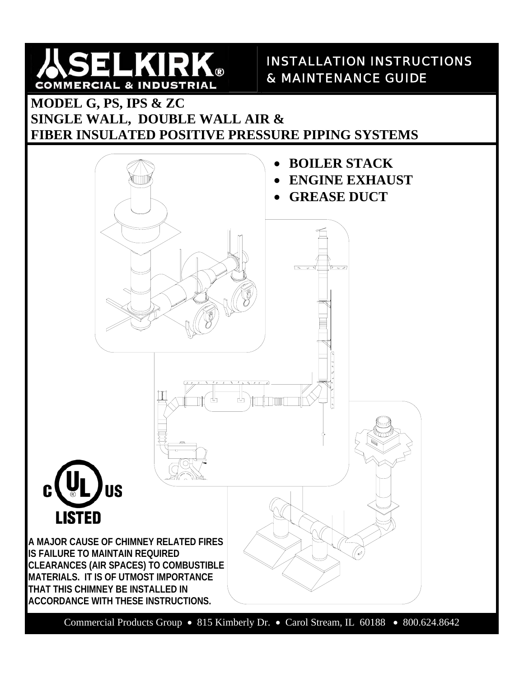

# INSTALLATION INSTRUCTIONS & MAINTENANCE GUIDE

# **MODEL G, PS, IPS & ZC**

**SINGLE WALL, DOUBLE WALL AIR & FIBER INSULATED POSITIVE PRESSURE PIPING SYSTEMS**



Commercial Products Group • 815 Kimberly Dr. • Carol Stream, IL 60188 • 800.624.8642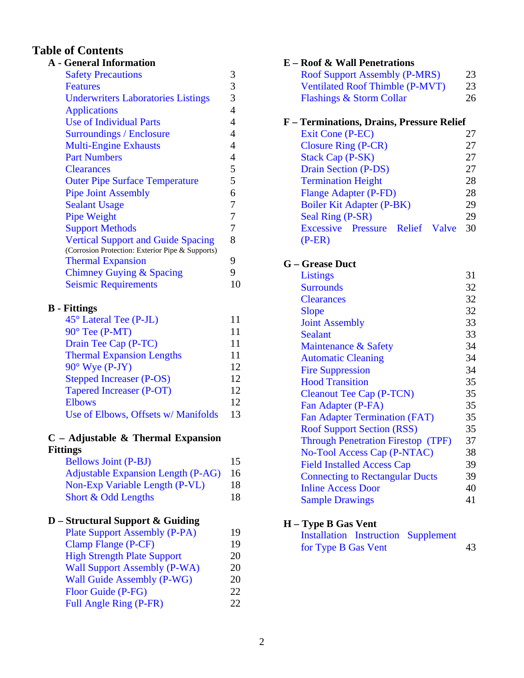# **Table of Contents**

| <b>A</b> - General Information                   |                |
|--------------------------------------------------|----------------|
| <b>Safety Precautions</b>                        | 3              |
| <b>Features</b>                                  | 3              |
| <b>Underwriters Laboratories Listings</b>        | 3              |
| <b>Applications</b>                              | $\overline{4}$ |
| <b>Use of Individual Parts</b>                   | $\overline{4}$ |
| <b>Surroundings / Enclosure</b>                  | $\overline{4}$ |
| <b>Multi-Engine Exhausts</b>                     | $\overline{4}$ |
| <b>Part Numbers</b>                              | $\overline{4}$ |
| <b>Clearances</b>                                | 5              |
| <b>Outer Pipe Surface Temperature</b>            | 5              |
| <b>Pipe Joint Assembly</b>                       | 6              |
| <b>Sealant Usage</b>                             | $\overline{7}$ |
| <b>Pipe Weight</b>                               | $\overline{7}$ |
| <b>Support Methods</b>                           | $\overline{7}$ |
| <b>Vertical Support and Guide Spacing</b>        | 8              |
| (Corrosion Protection: Exterior Pipe & Supports) |                |
| <b>Thermal Expansion</b>                         | 9              |
| Chimney Guying & Spacing                         | 9              |
| <b>Seismic Requirements</b>                      | 10             |
| <b>B</b> - Fittings                              |                |
| 45° Lateral Tee (P-JL)                           | 11             |
| $90^\circ$ Tee (P-MT)                            | 11             |
| Drain Tee Cap (P-TC)                             | 11             |
| <b>Thermal Expansion Lengths</b>                 | 11             |
| $90^\circ$ Wye (P-JY)                            | 12             |
| <b>Stepped Increaser (P-OS)</b>                  | 12             |
| <b>Tapered Increaser (P-OT)</b>                  | 12             |
| <b>Elbows</b>                                    | 12             |
| Use of Elbows, Offsets w/ Manifolds              | 13             |
|                                                  |                |
| $C - Adjustable \& Thermal Expansion$            |                |
| <b>Fittings</b><br><b>Bellows Joint (P-BJ)</b>   | 15             |
| <b>Adjustable Expansion Length (P-AG)</b>        | 16             |
|                                                  | 18             |
| <b>Non-Exp Variable Length (P-VL)</b>            |                |
| Short & Odd Lengths                              | 18             |

# **D – Structural Support & Guiding**

| 19  |
|-----|
| 19  |
| 20  |
| 20  |
| 20  |
| 22. |
| 22  |
|     |

# **E – Roof & Wall Penetrations**  Roof Support Assembly (P-MRS) 23 Ventilated Roof Thimble (P-MVT) 23 Flashings & Storm Collar 26 **F – Terminations, Drains, Pressure Relief**  Exit Cone (P-EC) 27 Closure Ring (P-CR) 27 Stack Cap (P-SK) 27 Drain Section (P-DS) 27 Termination Height 28 Flange Adapter (P-FD) 28 Boiler Kit Adapter (P-BK) 29 Seal Ring (P-SR) 29 Excessive Pressure Relief Valve (P-ER) 30 **G – Grease Duct**  Listings 31 Surrounds 32 Clearances 32 Slope 32 Joint Assembly 33 Sealant 33 Maintenance & Safety 34 Automatic Cleaning 34 Fire Suppression 34 Hood Transition 35 Cleanout Tee Cap (P-TCN) 35 Fan Adapter (P-FA) 35 Fan Adapter Termination (FAT) 35 Roof Support Section (RSS) 35 Through Penetration Firestop (TPF) 37 No-Tool Access Cap (P-NTAC) 38 Field Installed Access Cap 39 Connecting to Rectangular Ducts 39 Inline Access Door 40 Sample Drawings 41 **H – Type B Gas Vent** Installation Instruction Supplement for Type B Gas Vent 43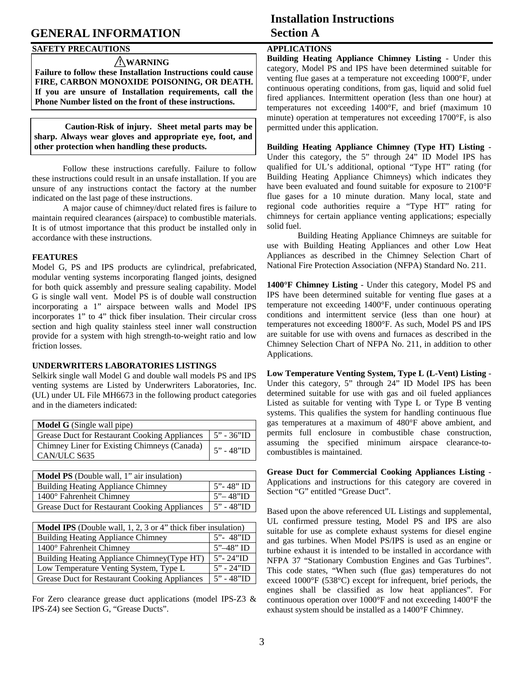# **GENERAL INFORMATION**

# **SAFETY PRECAUTIONS**

**! WARNING Failure to follow these Installation Instructions could cause FIRE, CARBON MONOXIDE POISONING, OR DEATH. If you are unsure of Installation requirements, call the Phone Number listed on the front of these instructions.** 

### **Caution-Risk of injury. Sheet metal parts may be sharp. Always wear gloves and appropriate eye, foot, and other protection when handling these products.**

Follow these instructions carefully. Failure to follow these instructions could result in an unsafe installation. If you are unsure of any instructions contact the factory at the number indicated on the last page of these instructions.

A major cause of chimney/duct related fires is failure to maintain required clearances (airspace) to combustible materials. It is of utmost importance that this product be installed only in accordance with these instructions.

# **FEATURES**

Model G, PS and IPS products are cylindrical, prefabricated, modular venting systems incorporating flanged joints, designed for both quick assembly and pressure sealing capability. Model G is single wall vent. Model PS is of double wall construction incorporating a 1" airspace between walls and Model IPS incorporates 1" to 4" thick fiber insulation. Their circular cross section and high quality stainless steel inner wall construction provide for a system with high strength-to-weight ratio and low friction losses.

# **UNDERWRITERS LABORATORIES LISTINGS**

Selkirk single wall Model G and double wall models PS and IPS venting systems are Listed by Underwriters Laboratories, Inc. (UL) under UL File MH6673 in the following product categories and in the diameters indicated:

| <b>Model G</b> (Single wall pipe)                              |                          |
|----------------------------------------------------------------|--------------------------|
| <b>Grease Duct for Restaurant Cooking Appliances</b>           | $\frac{1}{5}$ 5" - 36"ID |
| Chimney Liner for Existing Chimneys (Canada)<br>I CAN/ULC S635 | $5" - 48"$ ID            |

| <b>Model PS</b> (Double wall, 1" air insulation) |                                    |
|--------------------------------------------------|------------------------------------|
| <b>Building Heating Appliance Chimney</b>        | $5$ "-48" ID                       |
| $1400^\circ$ Fahrenheit Chimney                  | $5 - 48$ "ID                       |
| Grease Duct for Restaurant Cooking Appliances    | $\frac{5}{2}$ - 48 <sup>*</sup> ID |

| <b>Model IPS</b> (Double wall, 1, 2, 3 or 4" thick fiber insulation) |                               |  |
|----------------------------------------------------------------------|-------------------------------|--|
| <b>Building Heating Appliance Chimney</b>                            | 5"-48"ID                      |  |
| 1400° Fahrenheit Chimney                                             | $5^{\circ}$ -48 $^{\circ}$ ID |  |
| Building Heating Appliance Chimney(Type HT)                          | $5" - 24"$ ID                 |  |
| Low Temperature Venting System, Type L                               | $5" - 24"ID$                  |  |
| Grease Duct for Restaurant Cooking Appliances                        | 5" - 48"ID                    |  |

For Zero clearance grease duct applications (model IPS-Z3 & IPS-Z4) see Section G, "Grease Ducts".

# **Installation Instructions Section A**

# **APPLICATIONS**

**Building Heating Appliance Chimney Listing** - Under this category, Model PS and IPS have been determined suitable for venting flue gases at a temperature not exceeding 1000°F, under continuous operating conditions, from gas, liquid and solid fuel fired appliances. Intermittent operation (less than one hour) at temperatures not exceeding 1400°F, and brief (maximum 10 minute) operation at temperatures not exceeding 1700°F, is also permitted under this application.

**Building Heating Appliance Chimney (Type HT) Listing** - Under this category, the 5" through 24" ID Model IPS has qualified for UL's additional, optional "Type HT" rating (for Building Heating Appliance Chimneys) which indicates they have been evaluated and found suitable for exposure to 2100°F flue gases for a 10 minute duration. Many local, state and regional code authorities require a "Type HT" rating for chimneys for certain appliance venting applications; especially solid fuel.

Building Heating Appliance Chimneys are suitable for use with Building Heating Appliances and other Low Heat Appliances as described in the Chimney Selection Chart of National Fire Protection Association (NFPA) Standard No. 211.

**1400°F Chimney Listing** - Under this category, Model PS and IPS have been determined suitable for venting flue gases at a temperature not exceeding 1400°F, under continuous operating conditions and intermittent service (less than one hour) at temperatures not exceeding 1800°F. As such, Model PS and IPS are suitable for use with ovens and furnaces as described in the Chimney Selection Chart of NFPA No. 211, in addition to other Applications.

**Low Temperature Venting System, Type L (L-Vent) Listing** - Under this category, 5" through 24" ID Model IPS has been determined suitable for use with gas and oil fueled appliances Listed as suitable for venting with Type L or Type B venting systems. This qualifies the system for handling continuous flue gas temperatures at a maximum of 480°F above ambient, and permits full enclosure in combustible chase construction, assuming the specified minimum airspace clearance-tocombustibles is maintained.

**Grease Duct for Commercial Cooking Appliances Listing** - Applications and instructions for this category are covered in Section "G" entitled "Grease Duct".

Based upon the above referenced UL Listings and supplemental, UL confirmed pressure testing, Model PS and IPS are also suitable for use as complete exhaust systems for diesel engine and gas turbines. When Model PS/IPS is used as an engine or turbine exhaust it is intended to be installed in accordance with NFPA 37 "Stationary Combustion Engines and Gas Turbines". This code states, "When such (flue gas) temperatures do not exceed 1000°F (538°C) except for infrequent, brief periods, the engines shall be classified as low heat appliances". For continuous operation over 1000°F and not exceeding 1400°F the exhaust system should be installed as a 1400°F Chimney.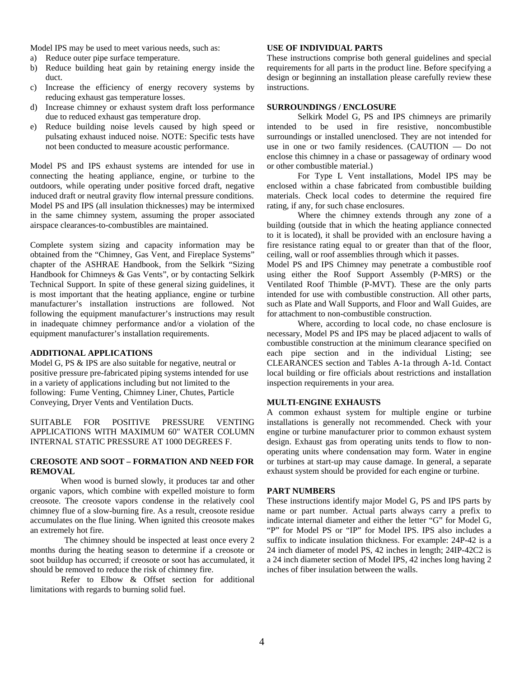Model IPS may be used to meet various needs, such as:

- a) Reduce outer pipe surface temperature.
- b) Reduce building heat gain by retaining energy inside the duct.
- c) Increase the efficiency of energy recovery systems by reducing exhaust gas temperature losses.
- d) Increase chimney or exhaust system draft loss performance due to reduced exhaust gas temperature drop.
- e) Reduce building noise levels caused by high speed or pulsating exhaust induced noise. NOTE: Specific tests have not been conducted to measure acoustic performance.

Model PS and IPS exhaust systems are intended for use in connecting the heating appliance, engine, or turbine to the outdoors, while operating under positive forced draft, negative induced draft or neutral gravity flow internal pressure conditions. Model PS and IPS (all insulation thicknesses) may be intermixed in the same chimney system, assuming the proper associated airspace clearances-to-combustibles are maintained.

Complete system sizing and capacity information may be obtained from the "Chimney, Gas Vent, and Fireplace Systems" chapter of the ASHRAE Handbook, from the Selkirk "Sizing Handbook for Chimneys & Gas Vents", or by contacting Selkirk Technical Support. In spite of these general sizing guidelines, it is most important that the heating appliance, engine or turbine manufacturer's installation instructions are followed. Not following the equipment manufacturer's instructions may result in inadequate chimney performance and/or a violation of the equipment manufacturer's installation requirements.

# **ADDITIONAL APPLICATIONS**

Model G, PS & IPS are also suitable for negative, neutral or positive pressure pre-fabricated piping systems intended for use in a variety of applications including but not limited to the following: Fume Venting, Chimney Liner, Chutes, Particle Conveying, Dryer Vents and Ventilation Ducts.

SUITABLE FOR POSITIVE PRESSURE VENTING APPLICATIONS WITH MAXIMUM 60" WATER COLUMN INTERNAL STATIC PRESSURE AT 1000 DEGREES F.

### **CREOSOTE AND SOOT – FORMATION AND NEED FOR REMOVAL**

When wood is burned slowly, it produces tar and other organic vapors, which combine with expelled moisture to form creosote. The creosote vapors condense in the relatively cool chimney flue of a slow-burning fire. As a result, creosote residue accumulates on the flue lining. When ignited this creosote makes an extremely hot fire.

 The chimney should be inspected at least once every 2 months during the heating season to determine if a creosote or soot buildup has occurred; if creosote or soot has accumulated, it should be removed to reduce the risk of chimney fire.

Refer to Elbow & Offset section for additional limitations with regards to burning solid fuel.

### **USE OF INDIVIDUAL PARTS**

These instructions comprise both general guidelines and special requirements for all parts in the product line. Before specifying a design or beginning an installation please carefully review these instructions.

#### **SURROUNDINGS / ENCLOSURE**

Selkirk Model G, PS and IPS chimneys are primarily intended to be used in fire resistive, noncombustible surroundings or installed unenclosed. They are not intended for use in one or two family residences. (CAUTION — Do not enclose this chimney in a chase or passageway of ordinary wood or other combustible material.)

For Type L Vent installations, Model IPS may be enclosed within a chase fabricated from combustible building materials. Check local codes to determine the required fire rating, if any, for such chase enclosures.

Where the chimney extends through any zone of a building (outside that in which the heating appliance connected to it is located), it shall be provided with an enclosure having a fire resistance rating equal to or greater than that of the floor, ceiling, wall or roof assemblies through which it passes.

Model PS and IPS Chimney may penetrate a combustible roof using either the Roof Support Assembly (P-MRS) or the Ventilated Roof Thimble (P-MVT). These are the only parts intended for use with combustible construction. All other parts, such as Plate and Wall Supports, and Floor and Wall Guides, are for attachment to non-combustible construction.

Where, according to local code, no chase enclosure is necessary, Model PS and IPS may be placed adjacent to walls of combustible construction at the minimum clearance specified on each pipe section and in the individual Listing; see CLEARANCES section and Tables A-1a through A-1d. Contact local building or fire officials about restrictions and installation inspection requirements in your area.

#### **MULTI-ENGINE EXHAUSTS**

A common exhaust system for multiple engine or turbine installations is generally not recommended. Check with your engine or turbine manufacturer prior to common exhaust system design. Exhaust gas from operating units tends to flow to nonoperating units where condensation may form. Water in engine or turbines at start-up may cause damage. In general, a separate exhaust system should be provided for each engine or turbine.

#### **PART NUMBERS**

These instructions identify major Model G, PS and IPS parts by name or part number. Actual parts always carry a prefix to indicate internal diameter and either the letter "G" for Model G, "P" for Model PS or "IP" for Model IPS. IPS also includes a suffix to indicate insulation thickness. For example: 24P-42 is a 24 inch diameter of model PS, 42 inches in length; 24IP-42C2 is a 24 inch diameter section of Model IPS, 42 inches long having 2 inches of fiber insulation between the walls.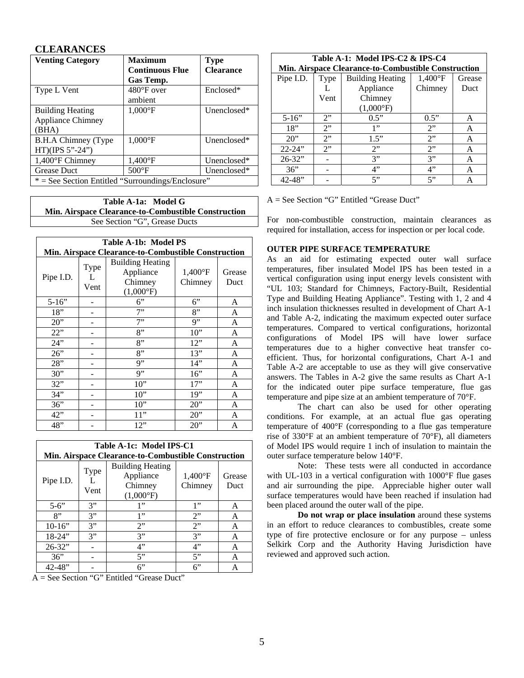# **CLEARANCES**

| <b>Venting Category</b>                           | <b>Maximum</b>         | <b>Type</b>      |  |
|---------------------------------------------------|------------------------|------------------|--|
|                                                   | <b>Continuous Flue</b> | <b>Clearance</b> |  |
|                                                   | Gas Temp.              |                  |  |
| Type L Vent                                       | $480^{\circ}$ F over   | Enclosed*        |  |
|                                                   | ambient                |                  |  |
| <b>Building Heating</b>                           | $1.000\textdegree F$   | Unenclosed $*$   |  |
| <b>Appliance Chimney</b>                          |                        |                  |  |
| (BHA)                                             |                        |                  |  |
| B.H.A Chimney (Type                               | $1,000$ <sup>o</sup> F | Unenclosed*      |  |
| $HT)(IPS 5" - 24")$                               |                        |                  |  |
| $1,400^{\circ}$ F Chimney                         | $1,400^{\circ}F$       | Unenclosed*      |  |
| <b>Grease Duct</b>                                | $500^{\circ}$ F        | Unenclosed*      |  |
| * = See Section Entitled "Surroundings/Enclosure" |                        |                  |  |

**Table A-1a: Model G Min. Airspace Clearance-to-Combustible Construction**  See Section "G", Grease Ducts

| Table A-1b: Model PS |                                                     |                                                                       |                    |                |  |  |
|----------------------|-----------------------------------------------------|-----------------------------------------------------------------------|--------------------|----------------|--|--|
|                      | Min. Airspace Clearance-to-Combustible Construction |                                                                       |                    |                |  |  |
| Pipe I.D.            | Type<br>L<br>Vent                                   | <b>Building Heating</b><br>Appliance<br>Chimney<br>$(1,000^{\circ}F)$ | 1,400°F<br>Chimney | Grease<br>Duct |  |  |
| $5-16"$              |                                                     | 6"                                                                    | 6"                 | A              |  |  |
| 18"                  |                                                     | 7"                                                                    | 8"                 | A              |  |  |
| 20"                  |                                                     | 7"                                                                    | 9"                 | A              |  |  |
| 22"                  |                                                     | 8"                                                                    | 10"                | A              |  |  |
| 24"                  |                                                     | 8"                                                                    | 12"                | A              |  |  |
| 26"                  |                                                     | 8"                                                                    | 13"                | A              |  |  |
| 28"                  |                                                     | 9"                                                                    | 14"                | A              |  |  |
| $30"$                |                                                     | 9"                                                                    | 16"                | A              |  |  |
| $32"$                |                                                     | 10"                                                                   | 17"                | A              |  |  |
| 34"                  |                                                     | 10"                                                                   | 19"                | A              |  |  |
| 36"                  |                                                     | 10"                                                                   | $20"$              | A              |  |  |
| 42"                  |                                                     | 11"                                                                   | 20"                | A              |  |  |
| 48"                  |                                                     | 12"                                                                   | 20"                | A              |  |  |

|             | Table A-1c: Model IPS-C1<br>Min. Airspace Clearance-to-Combustible Construction |                                                                       |                             |                |  |  |
|-------------|---------------------------------------------------------------------------------|-----------------------------------------------------------------------|-----------------------------|----------------|--|--|
| Pipe I.D.   | <b>Type</b><br>Vent                                                             | <b>Building Heating</b><br>Appliance<br>Chimney<br>$(1,000^{\circ}F)$ | $1,400^{\circ}F$<br>Chimney | Grease<br>Duct |  |  |
| $5 - 6$ "   | 3"                                                                              | 1"                                                                    | 1"                          | А              |  |  |
| $8$ "       | 3"                                                                              | 1"                                                                    | 2"                          | A              |  |  |
| $10-16"$    | 3"                                                                              | 2"                                                                    | 2"                          | A              |  |  |
| $18 - 24$ " | 3"                                                                              | 3"                                                                    | 3"                          | A              |  |  |
| $26 - 32"$  |                                                                                 | 4"                                                                    | 4"                          | A              |  |  |
| 36"         |                                                                                 | 5"                                                                    | 5"                          | A              |  |  |
| $42 - 48$ " |                                                                                 | 6"                                                                    | 6"                          | Α              |  |  |

A = See Section "G" Entitled "Grease Duct"

| Table A-1: Model IPS-C2 & IPS-C4<br>Min. Airspace Clearance-to-Combustible Construction |      |                         |                  |        |  |
|-----------------------------------------------------------------------------------------|------|-------------------------|------------------|--------|--|
| Pipe I.D.                                                                               | Type | <b>Building Heating</b> | $1,400^{\circ}F$ | Grease |  |
|                                                                                         |      | Appliance               | Chimney          | Duct   |  |
|                                                                                         | Vent | Chimney                 |                  |        |  |
| $(1,000^{\circ}F)$                                                                      |      |                         |                  |        |  |
| $5-16"$                                                                                 | 2"   | 0.5"                    | 0.5"             | A      |  |
| 18"                                                                                     | 2"   | 1"                      | 2"               | A      |  |
| 20"                                                                                     | 2    | 1.5"                    | 2"               | A      |  |
| $22 - 24"$                                                                              | 2    | 2"                      | 2"               | A      |  |
| $26 - 32"$                                                                              |      | 3"                      | 3"               | A      |  |
| 36"                                                                                     |      | 4"                      | 4"               | А      |  |
| $42 - 48$                                                                               |      | 5                       | 5"               |        |  |

A = See Section "G" Entitled "Grease Duct"

For non-combustible construction, maintain clearances as required for installation, access for inspection or per local code.

# **OUTER PIPE SURFACE TEMPERATURE**

As an aid for estimating expected outer wall surface temperatures, fiber insulated Model IPS has been tested in a vertical configuration using input energy levels consistent with "UL 103; Standard for Chimneys, Factory-Built, Residential Type and Building Heating Appliance". Testing with 1, 2 and 4 inch insulation thicknesses resulted in development of Chart A-1 and Table A-2, indicating the maximum expected outer surface temperatures. Compared to vertical configurations, horizontal configurations of Model IPS will have lower surface temperatures due to a higher convective heat transfer coefficient. Thus, for horizontal configurations, Chart A-1 and Table A-2 are acceptable to use as they will give conservative answers. The Tables in A-2 give the same results as Chart A-1 for the indicated outer pipe surface temperature, flue gas temperature and pipe size at an ambient temperature of 70°F.

 The chart can also be used for other operating conditions. For example, at an actual flue gas operating temperature of 400°F (corresponding to a flue gas temperature rise of 330°F at an ambient temperature of 70°F), all diameters of Model IPS would require 1 inch of insulation to maintain the outer surface temperature below 140°F.

Note: These tests were all conducted in accordance with UL-103 in a vertical configuration with 1000°F flue gases and air surrounding the pipe. Appreciable higher outer wall surface temperatures would have been reached if insulation had been placed around the outer wall of the pipe.

**Do not wrap or place insulation** around these systems in an effort to reduce clearances to combustibles, create some type of fire protective enclosure or for any purpose – unless Selkirk Corp and the Authority Having Jurisdiction have reviewed and approved such action.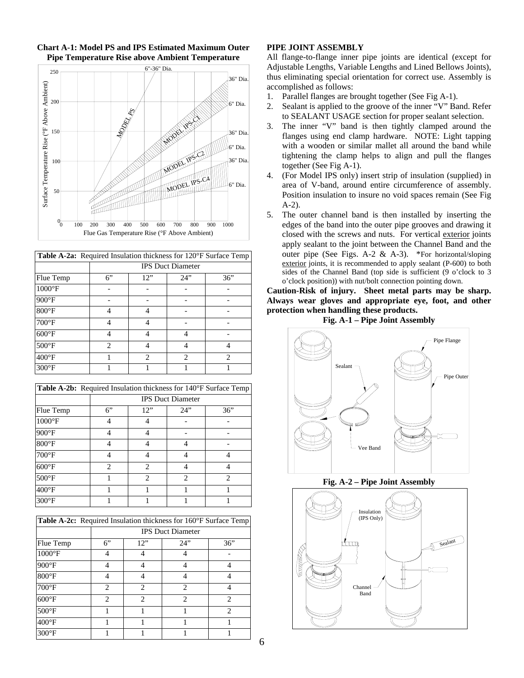

# **Chart A-1: Model PS and IPS Estimated Maximum Outer Pipe Temperature Rise above Ambient Temperature**

| <b>Table A-2a:</b> Required Insulation thickness for 120°F Surface Temp |                             |                             |     |     |  |
|-------------------------------------------------------------------------|-----------------------------|-----------------------------|-----|-----|--|
|                                                                         | <b>IPS Duct Diameter</b>    |                             |     |     |  |
| Flue Temp                                                               | 6                           | 12"                         | 24" | 36" |  |
| $1000^{\circ}$ F                                                        |                             |                             |     |     |  |
| $900^{\circ}$ F                                                         |                             |                             |     |     |  |
| $800^\circ F$                                                           |                             |                             |     |     |  |
| $700^{\circ}$ F                                                         |                             |                             |     |     |  |
| $600^{\circ} \mathrm{F}$                                                |                             |                             |     |     |  |
| $500^{\circ}$ F                                                         | $\mathcal{D}_{\mathcal{A}}$ |                             |     |     |  |
| $400^{\circ}F$                                                          |                             | $\mathcal{D}_{\mathcal{A}}$ | っ   | っ   |  |
| $300^{\circ}$ F                                                         |                             |                             |     |     |  |

| Table A-2b: Required Insulation thickness for 140°F Surface Temp |                             |                             |     |     |
|------------------------------------------------------------------|-----------------------------|-----------------------------|-----|-----|
|                                                                  | <b>IPS</b> Duct Diameter    |                             |     |     |
| Flue Temp                                                        | 6"                          | 12"                         | 24" | 36" |
| $1000^{\circ}$ F                                                 | 4                           |                             |     |     |
| $900^{\circ}$ F                                                  |                             |                             |     |     |
| $800^{\circ}$ F                                                  | 4                           |                             | Δ   |     |
| $700^{\circ}$ F                                                  | 4                           |                             |     |     |
| $600^{\circ}$ F                                                  | $\mathcal{D}_{\mathcal{L}}$ | $\mathcal{D}_{\mathcal{A}}$ |     |     |
| $500^{\circ}$ F                                                  |                             | $\mathcal{D}$               | っ   | っ   |
| $400^{\circ}$ F                                                  |                             |                             |     |     |
| $300^{\circ}$ F                                                  |                             |                             |     |     |

| <b>Table A-2c:</b> Required Insulation thickness for 160°F Surface Temp |                             |                |                               |                             |
|-------------------------------------------------------------------------|-----------------------------|----------------|-------------------------------|-----------------------------|
|                                                                         | <b>IPS Duct Diameter</b>    |                |                               |                             |
| Flue Temp                                                               | 6"                          | 12"            | 24"                           | 36"                         |
| $1000^{\circ}$ F                                                        |                             |                | 4                             |                             |
| $900^{\circ}$ F                                                         | 4                           |                | 4                             |                             |
| $800^{\circ}$ F                                                         |                             |                |                               |                             |
| $700^{\circ}$ F                                                         | $\mathfrak{D}$              | $\mathcal{D}$  | $\mathcal{D}_{\mathcal{A}}$   |                             |
| $600^{\circ}$ F                                                         | $\mathcal{D}_{\mathcal{L}}$ | $\mathfrak{D}$ | $\mathfrak{D}_{\mathfrak{p}}$ | $\mathcal{D}_{\mathcal{A}}$ |
| $500^{\circ}$ F                                                         |                             |                |                               | 2                           |
| $400^{\circ}$ F                                                         |                             |                |                               |                             |
| $300^{\circ}$ F                                                         |                             |                |                               |                             |

# **PIPE JOINT ASSEMBLY**

All flange-to-flange inner pipe joints are identical (except for Adjustable Lengths, Variable Lengths and Lined Bellows Joints), thus eliminating special orientation for correct use. Assembly is accomplished as follows:

- 1. Parallel flanges are brought together (See Fig A-1).
- 2. Sealant is applied to the groove of the inner "V" Band. Refer to SEALANT USAGE section for proper sealant selection.
- 3. The inner "V" band is then tightly clamped around the flanges using end clamp hardware. NOTE: Light tapping with a wooden or similar mallet all around the band while tightening the clamp helps to align and pull the flanges together (See Fig A-1).
- 4. (For Model IPS only) insert strip of insulation (supplied) in area of V-band, around entire circumference of assembly. Position insulation to insure no void spaces remain (See Fig A-2).
- 5. The outer channel band is then installed by inserting the edges of the band into the outer pipe grooves and drawing it closed with the screws and nuts. For vertical exterior joints apply sealant to the joint between the Channel Band and the outer pipe (See Figs. A-2 & A-3). \*For horizontal/sloping exterior joints, it is recommended to apply sealant (P-600) to both sides of the Channel Band (top side is sufficient (9 o'clock to 3 o'clock position)) with nut/bolt connection pointing down.

**Caution-Risk of injury. Sheet metal parts may be sharp. Always wear gloves and appropriate eye, foot, and other protection when handling these products.** 



**Fig. A-2 – Pipe Joint Assembly**

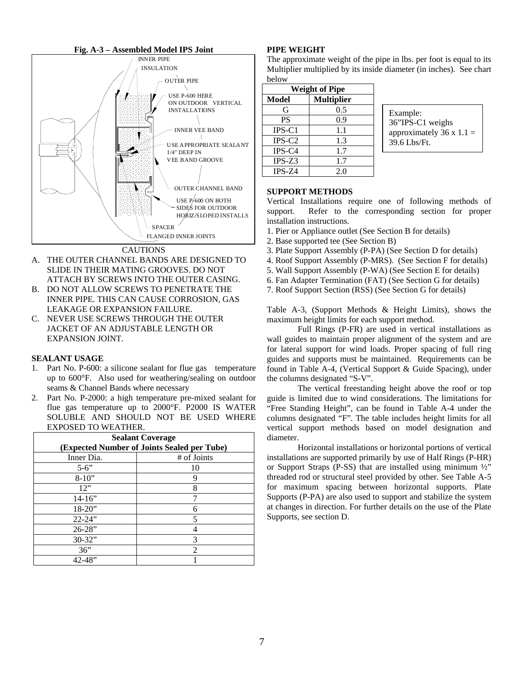

# CAUTIONS

- A. THE OUTER CHANNEL BANDS ARE DESIGNED TO SLIDE IN THEIR MATING GROOVES. DO NOT ATTACH BY SCREWS INTO THE OUTER CASING.
- B. DO NOT ALLOW SCREWS TO PENETRATE THE INNER PIPE. THIS CAN CAUSE CORROSION, GAS LEAKAGE OR EXPANSION FAILURE.
- C. NEVER USE SCREWS THROUGH THE OUTER JACKET OF AN ADJUSTABLE LENGTH OR EXPANSION JOINT.

#### **SEALANT USAGE**

- Part No. P-600: a silicone sealant for flue gas temperature up to 600°F. Also used for weathering/sealing on outdoor seams & Channel Bands where necessary
- 2. Part No. P-2000: a high temperature pre-mixed sealant for flue gas temperature up to 2000°F. P2000 IS WATER SOLUBLE AND SHOULD NOT BE USED WHERE EXPOSED TO WEATHER.

| <b>Sealant Coverage</b>                     |                             |  |  |  |
|---------------------------------------------|-----------------------------|--|--|--|
| (Expected Number of Joints Sealed per Tube) |                             |  |  |  |
| Inner Dia.                                  | # of Joints                 |  |  |  |
| $5 - 6$ "                                   | 10                          |  |  |  |
| $8-10"$                                     | 9                           |  |  |  |
| 12"                                         | 8                           |  |  |  |
| $14 - 16"$                                  |                             |  |  |  |
| $18 - 20$ "                                 |                             |  |  |  |
| $22 - 24"$                                  | 5                           |  |  |  |
| $26 - 28$ "                                 |                             |  |  |  |
| $30 - 32"$                                  | 3                           |  |  |  |
| 36"                                         | $\mathcal{D}_{\mathcal{L}}$ |  |  |  |
| $42 - 48$ "                                 |                             |  |  |  |

# **PIPE WEIGHT**

The approximate weight of the pipe in lbs. per foot is equal to its Multiplier multiplied by its inside diameter (in inches). See chart below

| <b>Weight of Pipe</b> |                   |  |  |  |
|-----------------------|-------------------|--|--|--|
| <b>Model</b>          | <b>Multiplier</b> |  |  |  |
| G                     | 0.5               |  |  |  |
| <b>PS</b>             | 0.9               |  |  |  |
| $IPS-C1$              | 1.1               |  |  |  |
| $IPS-C2$              | 1.3               |  |  |  |
| $IPS-C4$              | 1.7               |  |  |  |
| $IPS-Z3$              | 1.7               |  |  |  |
| $IPS-Z4$              | 2.0               |  |  |  |

Example: 36"IPS-C1 weighs approximately  $36 \times 1.1 =$ 39.6 Lbs/Ft.

#### **SUPPORT METHODS**

Vertical Installations require one of following methods of support. Refer to the corresponding section for proper installation instructions.

- 1. Pier or Appliance outlet (See Section B for details)
- 2. Base supported tee (See Section B)
- 3. Plate Support Assembly (P-PA) (See Section D for details)
- 4. Roof Support Assembly (P-MRS). (See Section F for details)
- 5. Wall Support Assembly (P-WA) (See Section E for details)
- 6. Fan Adapter Termination (FAT) (See Section G for details)
- 7. Roof Support Section (RSS) (See Section G for details)

Table A-3, (Support Methods & Height Limits), shows the maximum height limits for each support method.

Full Rings (P-FR) are used in vertical installations as wall guides to maintain proper alignment of the system and are for lateral support for wind loads. Proper spacing of full ring guides and supports must be maintained. Requirements can be found in Table A-4, (Vertical Support & Guide Spacing), under the columns designated "S-V".

The vertical freestanding height above the roof or top guide is limited due to wind considerations. The limitations for "Free Standing Height", can be found in Table A-4 under the columns designated "F". The table includes height limits for all vertical support methods based on model designation and diameter.

Horizontal installations or horizontal portions of vertical installations are supported primarily by use of Half Rings (P-HR) or Support Straps (P-SS) that are installed using minimum  $\frac{1}{2}$ " threaded rod or structural steel provided by other. See Table A-5 for maximum spacing between horizontal supports. Plate Supports (P-PA) are also used to support and stabilize the system at changes in direction. For further details on the use of the Plate Supports, see section D.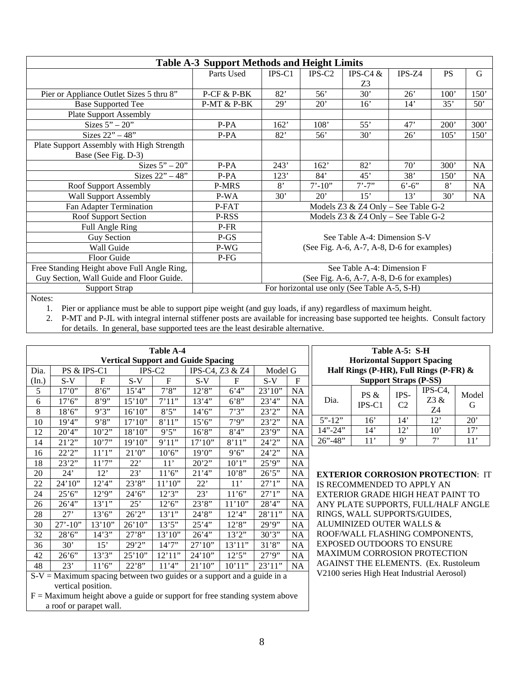| <b>Table A-3 Support Methods and Height Limits</b> |                                              |                                            |              |                                        |            |           |                  |
|----------------------------------------------------|----------------------------------------------|--------------------------------------------|--------------|----------------------------------------|------------|-----------|------------------|
|                                                    | Parts Used                                   | $IPS-C1$                                   | $IPS-C2$     | IPS-C4 $&$                             | IPS-Z4     | <b>PS</b> | G                |
|                                                    |                                              |                                            |              | Z3                                     |            |           |                  |
| Pier or Appliance Outlet Sizes 5 thru 8"           | $P$ -CF & P-BK                               | 82'                                        | 56'          | 30'                                    | 26'        | 100'      | 150'             |
| <b>Base Supported Tee</b>                          | $P-MT & P-BK$                                | 29'                                        | 20'          | 16'                                    | 14'        | 35'       | 50'              |
| <b>Plate Support Assembly</b>                      |                                              |                                            |              |                                        |            |           |                  |
| Sizes $5" - 20"$                                   | $P-PA$                                       | 162'                                       | 108'         | 55'                                    | 47'        | 200'      | 300 <sup>'</sup> |
| Sizes $22" - 48"$                                  | $P-PA$                                       | 82'                                        | 56'          | $30^{\circ}$                           | 26'        | 105'      | 150'             |
| Plate Support Assembly with High Strength          |                                              |                                            |              |                                        |            |           |                  |
| Base (See Fig. D-3)                                |                                              |                                            |              |                                        |            |           |                  |
| Sizes $5" - 20"$                                   | P-PA                                         | 243'                                       | 162'         | 82'                                    | 70'        | 300'      | <b>NA</b>        |
| Sizes $22" - 48"$                                  | P-PA                                         | 123'                                       | 84'          | 45'                                    | 38'        | 150'      | <b>NA</b>        |
| <b>Roof Support Assembly</b>                       | <b>P-MRS</b>                                 | 8'                                         | $7' - 10'$   | $7' - 7''$                             | $6' - 6''$ | 8'        | <b>NA</b>        |
| <b>Wall Support Assembly</b>                       | P-WA                                         | 30'                                        | $20^{\circ}$ | 15'                                    | 13'        | 30'       | <b>NA</b>        |
| Fan Adapter Termination                            | P-FAT                                        |                                            |              | Models Z3 & Z4 Only - See Table G-2    |            |           |                  |
| <b>Roof Support Section</b>                        | P-RSS                                        |                                            |              | Models $Z3 \& Z4$ Only – See Table G-2 |            |           |                  |
| Full Angle Ring                                    | P-FR                                         |                                            |              |                                        |            |           |                  |
| <b>Guy Section</b>                                 | $P-GS$                                       | See Table A-4: Dimension S-V               |              |                                        |            |           |                  |
| Wall Guide                                         | P-WG                                         | (See Fig. A-6, A-7, A-8, D-6 for examples) |              |                                        |            |           |                  |
| Floor Guide                                        | P-FG                                         |                                            |              |                                        |            |           |                  |
| Free Standing Height above Full Angle Ring,        | See Table A-4: Dimension F                   |                                            |              |                                        |            |           |                  |
| Guy Section, Wall Guide and Floor Guide.           | (See Fig. A-6, A-7, A-8, D-6 for examples)   |                                            |              |                                        |            |           |                  |
| <b>Support Strap</b>                               | For horizontal use only (See Table A-5, S-H) |                                            |              |                                        |            |           |                  |

Notes:

1. Pier or appliance must be able to support pipe weight (and guy loads, if any) regardless of maximum height.

2. P-MT and P-JL with integral internal stiffener posts are available for increasing base supported tee heights. Consult factory

for details. In general, base supported tees are the least desirable alternative.

| Table A-4                                                                                      |                                                                              |        |                              |              |                            |                              |        |           |  |
|------------------------------------------------------------------------------------------------|------------------------------------------------------------------------------|--------|------------------------------|--------------|----------------------------|------------------------------|--------|-----------|--|
| <b>Vertical Support and Guide Spacing</b>                                                      |                                                                              |        |                              |              |                            |                              |        |           |  |
| Dia.                                                                                           | PS & IPS-C1                                                                  |        |                              | $IPS-C2$     |                            | IPS-C4, Z3 & Z4              |        | Model G   |  |
| (In.)                                                                                          | S-V                                                                          | F      | $S-V$                        | $\mathbf{F}$ | $S-V$                      | F                            | S-V    | F         |  |
| 5                                                                                              | 17'0''                                                                       | 8'6''  | 15'4''                       | 7'8''        | 12'8''                     | 6'4''                        | 23'10" | NA        |  |
| 6                                                                                              | 17'6''                                                                       | 8'9''  | 15'10''                      | 7'11"        | 13'4"                      | 6'8''                        | 23'4'' | NA.       |  |
| 8                                                                                              | 18'6''                                                                       | 9'3''  | 16'10"                       | 8'5''        | 14'6''                     | 7'3''                        | 23'2'' | NA        |  |
| 10                                                                                             | 19'4"                                                                        | 9'8''  | 17'10''                      | 8'11"        | 15'6''                     | 7.9                          | 23'2"  | <b>NA</b> |  |
| 12                                                                                             | 20'4"                                                                        | 10'2"  | $18^\circ 10^{\prime\prime}$ | 9'5''        | 16'8"                      | 8'4''                        | 23'9"  | <b>NA</b> |  |
| 14                                                                                             | 21'2''                                                                       | 10'7'' | 19'10"                       | 9'11"        | 17'10''                    | 8'11"                        | 24'2'' | <b>NA</b> |  |
| 16                                                                                             | 22'2''                                                                       | 11'1'' | $21'0"$                      | 10'6'        | 19'0''                     | 9'6''                        | 24'2'' | <b>NA</b> |  |
| 18                                                                                             | 23'2''                                                                       | 11'7'' | 22'                          | 11'          | $20^{\circ}2^{\circ\circ}$ | $10^{\circ}1^{\prime\prime}$ | 25'9'' | NA        |  |
| 20                                                                                             | 24'                                                                          | 12'    | 23'                          | 11'6''       | 21'4''                     | 10'8"                        | 26'5'' | NA.       |  |
| 22                                                                                             | 24'10''                                                                      | 12'4'' | 23'8"                        | 11'10"       | $22^{\circ}$               | 11'                          | 27'1'' | <b>NA</b> |  |
| 24                                                                                             | 25'6''                                                                       | 12'9'' | 24'6''                       | 12'3''       | 23'                        | 11'6'                        | 27'1'' | <b>NA</b> |  |
| 26                                                                                             | 26'4''                                                                       | 13'1'' | 25'                          | 12'6'        | 23'8''                     | 11'10"                       | 28'4"  | <b>NA</b> |  |
| 28                                                                                             | 27'                                                                          | 13'6'' | 26'2''                       | 13'1''       | 24'8''                     | 12'4''                       | 28'11" | <b>NA</b> |  |
| 30                                                                                             | $27' - 10'$                                                                  | 13'10" | 26'10"                       | 13'5''       | 25'4''                     | 12'8''                       | 29'9'' | NA        |  |
| 32                                                                                             | $28^\circ 6^{\prime\prime}$                                                  | 14'3'' | 27'8''                       | 13'10"       | 26'4''                     | 13'2''                       | 30'3'' | NA        |  |
| 36                                                                                             | 30'                                                                          | 15'    | 29'2"                        | 14'7''       | 27'10''                    | 13'11"                       | 31'8'' | NA        |  |
| 42                                                                                             | 26'6''                                                                       | 13'3'' | 25'10"                       | 12'11"       | 24'10''                    | 12'5''                       | 27'9'' | NA        |  |
| 48                                                                                             | 23'                                                                          | 11'6'' | 22'8''                       | 11'4"        | 21'10''                    | 10'11"                       | 23'11" | <b>NA</b> |  |
| $S-V =$ Maximum spacing between two guides or a support and a guide in a<br>vertical position. |                                                                              |        |                              |              |                            |                              |        |           |  |
|                                                                                                | $F =$ Maximum height above a guide or support for free standing system above |        |                              |              |                            |                              |        |           |  |
|                                                                                                | a roof or parapet wall.                                                      |        |                              |              |                            |                              |        |           |  |

| Table A-5: S-H<br><b>Horizontal Support Spacing</b><br>Half Rings (P-HR), Full Rings (P-FR) & |                              |                        |                          |              |  |  |
|-----------------------------------------------------------------------------------------------|------------------------------|------------------------|--------------------------|--------------|--|--|
|                                                                                               | <b>Support Straps (P-SS)</b> |                        |                          |              |  |  |
| Dia.                                                                                          | PS &<br>$IPS-C1$             | IPS-<br>C <sub>2</sub> | $IPS-C4$ ,<br>Z3 &<br>Z4 | Model<br>G   |  |  |
| $5" - 12"$                                                                                    | 16'                          | 14'                    | 12'                      | $20^{\circ}$ |  |  |
| $14" - 24"$                                                                                   | 14'                          | 12'                    | $10^{\circ}$             | 17'          |  |  |
| $26^{\prime\prime} - 48^{\prime\prime}$                                                       | 11'                          | g,                     |                          | 11'          |  |  |

**EXTERIOR CORROSION PROTECTION**: IT IS RECOMMENDED TO APPLY AN EXTERIOR GRADE HIGH HEAT PAINT TO ANY PLATE SUPPORTS, FULL/HALF ANGLE RINGS, WALL SUPPORTS/GUIDES, ALUMINIZED OUTER WALLS & ROOF/WALL FLASHING COMPONENTS, EXPOSED OUTDOORS TO ENSURE MAXIMUM CORROSION PROTECTION AGAINST THE ELEMENTS. (Ex. Rustoleum V2100 series High Heat Industrial Aerosol)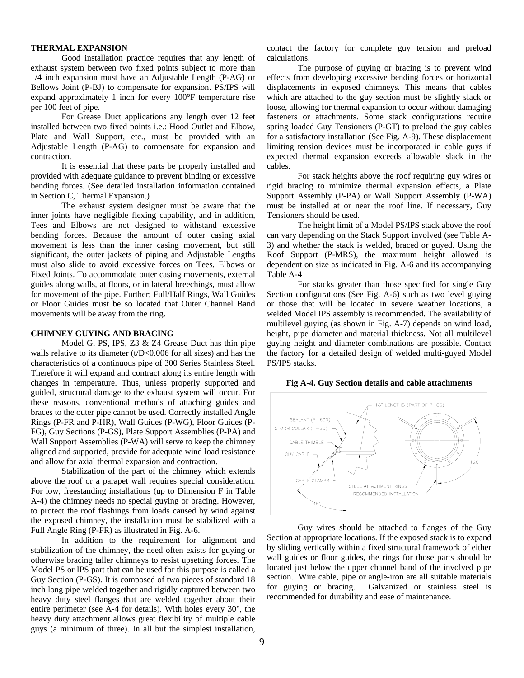#### **THERMAL EXPANSION**

 Good installation practice requires that any length of exhaust system between two fixed points subject to more than 1/4 inch expansion must have an Adjustable Length (P-AG) or Bellows Joint (P-BJ) to compensate for expansion. PS/IPS will expand approximately 1 inch for every 100°F temperature rise per 100 feet of pipe.

 For Grease Duct applications any length over 12 feet installed between two fixed points i.e.: Hood Outlet and Elbow, Plate and Wall Support, etc., must be provided with an Adjustable Length (P-AG) to compensate for expansion and contraction.

 It is essential that these parts be properly installed and provided with adequate guidance to prevent binding or excessive bending forces. (See detailed installation information contained in Section C, Thermal Expansion.)

 The exhaust system designer must be aware that the inner joints have negligible flexing capability, and in addition, Tees and Elbows are not designed to withstand excessive bending forces. Because the amount of outer casing axial movement is less than the inner casing movement, but still significant, the outer jackets of piping and Adjustable Lengths must also slide to avoid excessive forces on Tees, Elbows or Fixed Joints. To accommodate outer casing movements, external guides along walls, at floors, or in lateral breechings, must allow for movement of the pipe. Further; Full/Half Rings, Wall Guides or Floor Guides must be so located that Outer Channel Band movements will be away from the ring.

# **CHIMNEY GUYING AND BRACING**

Model G, PS, IPS, Z3 & Z4 Grease Duct has thin pipe walls relative to its diameter  $(t/D<0.006$  for all sizes) and has the characteristics of a continuous pipe of 300 Series Stainless Steel. Therefore it will expand and contract along its entire length with changes in temperature. Thus, unless properly supported and guided, structural damage to the exhaust system will occur. For these reasons, conventional methods of attaching guides and braces to the outer pipe cannot be used. Correctly installed Angle Rings (P-FR and P-HR), Wall Guides (P-WG), Floor Guides (P-FG), Guy Sections (P-GS), Plate Support Assemblies (P-PA) and Wall Support Assemblies (P-WA) will serve to keep the chimney aligned and supported, provide for adequate wind load resistance and allow for axial thermal expansion and contraction.

Stabilization of the part of the chimney which extends above the roof or a parapet wall requires special consideration. For low, freestanding installations (up to Dimension F in Table A-4) the chimney needs no special guying or bracing. However, to protect the roof flashings from loads caused by wind against the exposed chimney, the installation must be stabilized with a Full Angle Ring (P-FR) as illustrated in Fig. A-6.

In addition to the requirement for alignment and stabilization of the chimney, the need often exists for guying or otherwise bracing taller chimneys to resist upsetting forces. The Model PS or IPS part that can be used for this purpose is called a Guy Section (P-GS). It is composed of two pieces of standard 18 inch long pipe welded together and rigidly captured between two heavy duty steel flanges that are welded together about their entire perimeter (see A-4 for details). With holes every 30°, the heavy duty attachment allows great flexibility of multiple cable guys (a minimum of three). In all but the simplest installation,

contact the factory for complete guy tension and preload calculations.

The purpose of guying or bracing is to prevent wind effects from developing excessive bending forces or horizontal displacements in exposed chimneys. This means that cables which are attached to the guy section must be slightly slack or loose, allowing for thermal expansion to occur without damaging fasteners or attachments. Some stack configurations require spring loaded Guy Tensioners (P-GT) to preload the guy cables for a satisfactory installation (See Fig. A-9). These displacement limiting tension devices must be incorporated in cable guys if expected thermal expansion exceeds allowable slack in the cables.

For stack heights above the roof requiring guy wires or rigid bracing to minimize thermal expansion effects, a Plate Support Assembly (P-PA) or Wall Support Assembly (P-WA) must be installed at or near the roof line. If necessary, Guy Tensioners should be used.

The height limit of a Model PS/IPS stack above the roof can vary depending on the Stack Support involved (see Table A-3) and whether the stack is welded, braced or guyed. Using the Roof Support (P-MRS), the maximum height allowed is dependent on size as indicated in Fig. A-6 and its accompanying Table A-4

For stacks greater than those specified for single Guy Section configurations (See Fig. A-6) such as two level guying or those that will be located in severe weather locations, a welded Model IPS assembly is recommended. The availability of multilevel guying (as shown in Fig. A-7) depends on wind load, height, pipe diameter and material thickness. Not all multilevel guying height and diameter combinations are possible. Contact the factory for a detailed design of welded multi-guyed Model PS/IPS stacks.

**Fig A-4. Guy Section details and cable attachments** 



Guy wires should be attached to flanges of the Guy Section at appropriate locations. If the exposed stack is to expand by sliding vertically within a fixed structural framework of either wall guides or floor guides, the rings for those parts should be located just below the upper channel band of the involved pipe section. Wire cable, pipe or angle-iron are all suitable materials for guying or bracing. Galvanized or stainless steel is recommended for durability and ease of maintenance.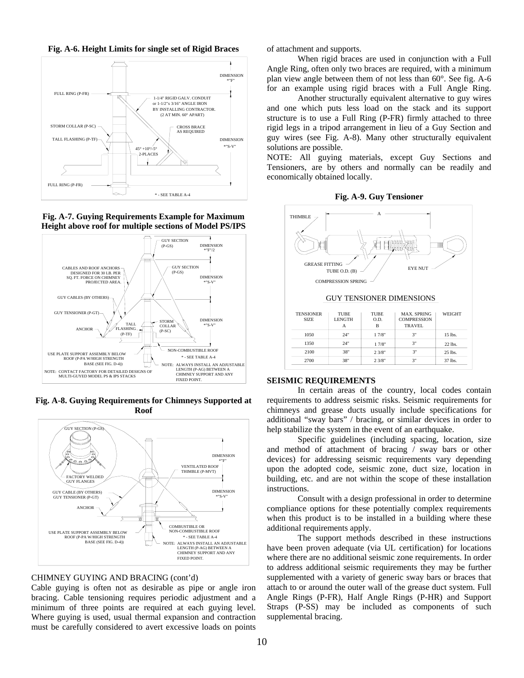**Fig. A-6. Height Limits for single set of Rigid Braces** 







**Fig. A-8. Guying Requirements for Chimneys Supported at Roof** 



#### CHIMNEY GUYING AND BRACING (cont'd)

Cable guying is often not as desirable as pipe or angle iron bracing. Cable tensioning requires periodic adjustment and a minimum of three points are required at each guying level. Where guying is used, usual thermal expansion and contraction must be carefully considered to avert excessive loads on points of attachment and supports.

When rigid braces are used in conjunction with a Full Angle Ring, often only two braces are required, with a minimum plan view angle between them of not less than 60°. See fig. A-6 for an example using rigid braces with a Full Angle Ring.

 Another structurally equivalent alternative to guy wires and one which puts less load on the stack and its support structure is to use a Full Ring (P-FR) firmly attached to three rigid legs in a tripod arrangement in lieu of a Guy Section and guy wires (see Fig. A-8). Many other structurally equivalent solutions are possible.

NOTE: All guying materials, except Guy Sections and Tensioners, are by others and normally can be readily and economically obtained locally.

**Fig. A-9. Guy Tensioner** 



#### **SEISMIC REQUIREMENTS**

In certain areas of the country, local codes contain requirements to address seismic risks. Seismic requirements for chimneys and grease ducts usually include specifications for additional "sway bars" / bracing, or similar devices in order to help stabilize the system in the event of an earthquake.

Specific guidelines (including spacing, location, size and method of attachment of bracing / sway bars or other devices) for addressing seismic requirements vary depending upon the adopted code, seismic zone, duct size, location in building, etc. and are not within the scope of these installation instructions.

Consult with a design professional in order to determine compliance options for these potentially complex requirements when this product is to be installed in a building where these additional requirements apply.

The support methods described in these instructions have been proven adequate (via UL certification) for locations where there are no additional seismic zone requirements. In order to address additional seismic requirements they may be further supplemented with a variety of generic sway bars or braces that attach to or around the outer wall of the grease duct system. Full Angle Rings (P-FR), Half Angle Rings (P-HR) and Support Straps (P-SS) may be included as components of such supplemental bracing.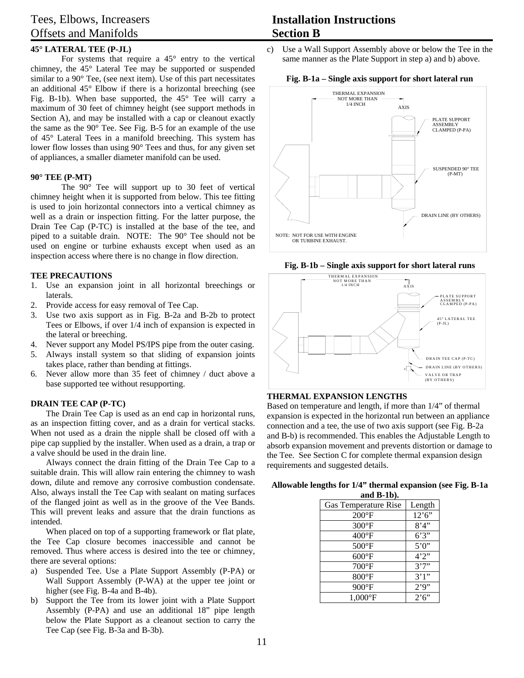# Tees, Elbows, Increasers Offsets and Manifolds

# **45° LATERAL TEE (P-JL)**

For systems that require a  $45^\circ$  entry to the vertical chimney, the 45° Lateral Tee may be supported or suspended similar to a 90° Tee, (see next item). Use of this part necessitates an additional 45° Elbow if there is a horizontal breeching (see Fig. B-1b). When base supported, the 45° Tee will carry a maximum of 30 feet of chimney height (see support methods in Section A), and may be installed with a cap or cleanout exactly the same as the 90° Tee. See Fig. B-5 for an example of the use of 45° Lateral Tees in a manifold breeching. This system has lower flow losses than using 90° Tees and thus, for any given set of appliances, a smaller diameter manifold can be used.

#### **90° TEE (P-MT)**

The 90° Tee will support up to 30 feet of vertical chimney height when it is supported from below. This tee fitting is used to join horizontal connectors into a vertical chimney as well as a drain or inspection fitting. For the latter purpose, the Drain Tee Cap (P-TC) is installed at the base of the tee, and piped to a suitable drain. NOTE: The 90° Tee should not be used on engine or turbine exhausts except when used as an inspection access where there is no change in flow direction.

# **TEE PRECAUTIONS**

- 1. Use an expansion joint in all horizontal breechings or laterals.
- 2. Provide access for easy removal of Tee Cap.
- 3. Use two axis support as in Fig. B-2a and B-2b to protect Tees or Elbows, if over 1/4 inch of expansion is expected in the lateral or breeching.
- 4. Never support any Model PS/IPS pipe from the outer casing.
- 5. Always install system so that sliding of expansion joints takes place, rather than bending at fittings.
- 6. Never allow more than 35 feet of chimney / duct above a base supported tee without resupporting.

# **DRAIN TEE CAP (P-TC)**

The Drain Tee Cap is used as an end cap in horizontal runs, as an inspection fitting cover, and as a drain for vertical stacks. When not used as a drain the nipple shall be closed off with a pipe cap supplied by the installer. When used as a drain, a trap or a valve should be used in the drain line.

Always connect the drain fitting of the Drain Tee Cap to a suitable drain. This will allow rain entering the chimney to wash down, dilute and remove any corrosive combustion condensate. Also, always install the Tee Cap with sealant on mating surfaces of the flanged joint as well as in the groove of the Vee Bands. This will prevent leaks and assure that the drain functions as intended.

When placed on top of a supporting framework or flat plate, the Tee Cap closure becomes inaccessible and cannot be removed. Thus where access is desired into the tee or chimney, there are several options:

- Suspended Tee. Use a Plate Support Assembly (P-PA) or Wall Support Assembly (P-WA) at the upper tee joint or higher (see Fig. B-4a and B-4b).
- b) Support the Tee from its lower joint with a Plate Support Assembly (P-PA) and use an additional 18" pipe length below the Plate Support as a cleanout section to carry the Tee Cap (see Fig. B-3a and B-3b).

# **Installation Instructions Section B**

c) Use a Wall Support Assembly above or below the Tee in the same manner as the Plate Support in step a) and b) above.





**Fig. B-1b – Single axis support for short lateral runs** 



# **THERMAL EXPANSION LENGTHS**

Based on temperature and length, if more than 1/4" of thermal expansion is expected in the horizontal run between an appliance connection and a tee, the use of two axis support (see Fig. B-2a and B-b) is recommended. This enables the Adjustable Length to absorb expansion movement and prevents distortion or damage to the Tee. See Section C for complete thermal expansion design requirements and suggested details.

| Allowable lengths for 1/4" thermal expansion (see Fig. B-1a) |  |
|--------------------------------------------------------------|--|
| and $B-1b$ ).                                                |  |

| $-1$                 |        |
|----------------------|--------|
| Gas Temperature Rise | Length |
| $200^{\circ}F$       | 12'6'' |
| $300^{\circ}F$       | 8'4''  |
| $400^{\circ}$ F      | 6'3''  |
| $500^{\circ}$ F      | 5'0''  |
| $600^{\circ}$ F      | 4'2''  |
| $700^{\circ}$ F      | 3'7''  |
| $800^{\circ}$ F      | 3'1''  |
| $900^{\circ}$ F      | 2'9''  |
| $1,000$ °F           | 2'6'   |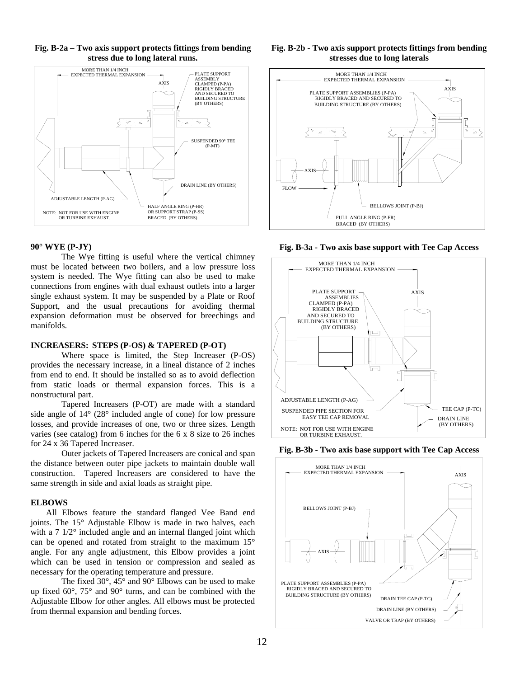

# **Fig. B-2a – Two axis support protects fittings from bending stress due to long lateral runs.**

#### **90° WYE (P-JY)**

The Wye fitting is useful where the vertical chimney must be located between two boilers, and a low pressure loss system is needed. The Wye fitting can also be used to make connections from engines with dual exhaust outlets into a larger single exhaust system. It may be suspended by a Plate or Roof Support, and the usual precautions for avoiding thermal expansion deformation must be observed for breechings and manifolds.

#### **INCREASERS: STEPS (P-OS) & TAPERED (P-OT)**

Where space is limited, the Step Increaser (P-OS) provides the necessary increase, in a lineal distance of 2 inches from end to end. It should be installed so as to avoid deflection from static loads or thermal expansion forces. This is a nonstructural part.

Tapered Increasers (P-OT) are made with a standard side angle of 14° (28° included angle of cone) for low pressure losses, and provide increases of one, two or three sizes. Length varies (see catalog) from 6 inches for the 6 x 8 size to 26 inches for 24 x 36 Tapered Increaser.

Outer jackets of Tapered Increasers are conical and span the distance between outer pipe jackets to maintain double wall construction. Tapered Increasers are considered to have the same strength in side and axial loads as straight pipe.

#### **ELBOWS**

All Elbows feature the standard flanged Vee Band end joints. The 15° Adjustable Elbow is made in two halves, each with a 7  $1/2^{\circ}$  included angle and an internal flanged joint which can be opened and rotated from straight to the maximum 15° angle. For any angle adjustment, this Elbow provides a joint which can be used in tension or compression and sealed as necessary for the operating temperature and pressure.

The fixed 30°, 45° and 90° Elbows can be used to make up fixed 60°, 75° and 90° turns, and can be combined with the Adjustable Elbow for other angles. All elbows must be protected from thermal expansion and bending forces.

### **Fig. B-2b - Two axis support protects fittings from bending stresses due to long laterals**



**Fig. B-3a - Two axis base support with Tee Cap Access** 



**Fig. B-3b - Two axis base support with Tee Cap Access** 

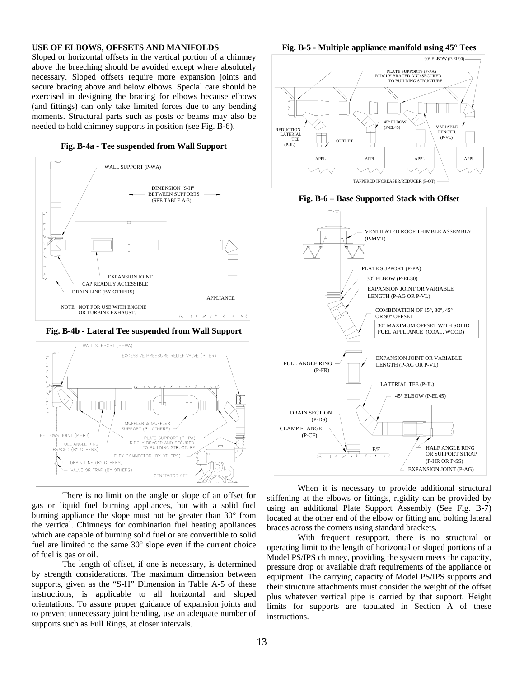#### **USE OF ELBOWS, OFFSETS AND MANIFOLDS**

Sloped or horizontal offsets in the vertical portion of a chimney above the breeching should be avoided except where absolutely necessary. Sloped offsets require more expansion joints and secure bracing above and below elbows. Special care should be exercised in designing the bracing for elbows because elbows (and fittings) can only take limited forces due to any bending moments. Structural parts such as posts or beams may also be needed to hold chimney supports in position (see Fig. B-6).





**Fig. B-4b - Lateral Tee suspended from Wall Support** 



There is no limit on the angle or slope of an offset for gas or liquid fuel burning appliances, but with a solid fuel burning appliance the slope must not be greater than 30° from the vertical. Chimneys for combination fuel heating appliances which are capable of burning solid fuel or are convertible to solid fuel are limited to the same 30° slope even if the current choice of fuel is gas or oil.

The length of offset, if one is necessary, is determined by strength considerations. The maximum dimension between supports, given as the "S-H" Dimension in Table A-5 of these instructions, is applicable to all horizontal and sloped orientations. To assure proper guidance of expansion joints and to prevent unnecessary joint bending, use an adequate number of supports such as Full Rings, at closer intervals.

**Fig. B-5 - Multiple appliance manifold using 45° Tees** 





**Fig. B-6 – Base Supported Stack with Offset** 

When it is necessary to provide additional structural stiffening at the elbows or fittings, rigidity can be provided by using an additional Plate Support Assembly (See Fig. B-7) located at the other end of the elbow or fitting and bolting lateral braces across the corners using standard brackets.

With frequent resupport, there is no structural or operating limit to the length of horizontal or sloped portions of a Model PS/IPS chimney, providing the system meets the capacity, pressure drop or available draft requirements of the appliance or equipment. The carrying capacity of Model PS/IPS supports and their structure attachments must consider the weight of the offset plus whatever vertical pipe is carried by that support. Height limits for supports are tabulated in Section A of these instructions.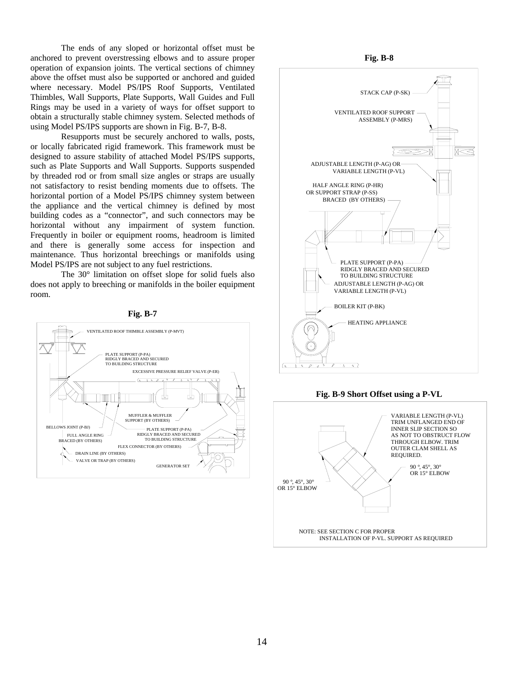The ends of any sloped or horizontal offset must be anchored to prevent overstressing elbows and to assure proper operation of expansion joints. The vertical sections of chimney above the offset must also be supported or anchored and guided where necessary. Model PS/IPS Roof Supports, Ventilated Thimbles, Wall Supports, Plate Supports, Wall Guides and Full Rings may be used in a variety of ways for offset support to obtain a structurally stable chimney system. Selected methods of using Model PS/IPS supports are shown in Fig. B-7, B-8.

Resupports must be securely anchored to walls, posts, or locally fabricated rigid framework. This framework must be designed to assure stability of attached Model PS/IPS supports, such as Plate Supports and Wall Supports. Supports suspended by threaded rod or from small size angles or straps are usually not satisfactory to resist bending moments due to offsets. The horizontal portion of a Model PS/IPS chimney system between the appliance and the vertical chimney is defined by most building codes as a "connector", and such connectors may be horizontal without any impairment of system function. Frequently in boiler or equipment rooms, headroom is limited and there is generally some access for inspection and maintenance. Thus horizontal breechings or manifolds using Model PS/IPS are not subject to any fuel restrictions.

The 30° limitation on offset slope for solid fuels also does not apply to breeching or manifolds in the boiler equipment room.









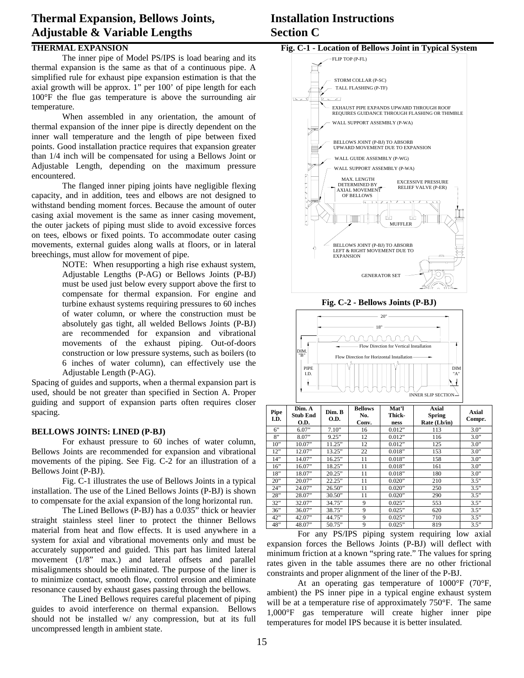# **Thermal Expansion, Bellows Joints, Adjustable & Variable Lengths**

# **THERMAL EXPANSION**

The inner pipe of Model PS/IPS is load bearing and its thermal expansion is the same as that of a continuous pipe. A simplified rule for exhaust pipe expansion estimation is that the axial growth will be approx. 1" per 100' of pipe length for each 100°F the flue gas temperature is above the surrounding air temperature.

When assembled in any orientation, the amount of thermal expansion of the inner pipe is directly dependent on the inner wall temperature and the length of pipe between fixed points. Good installation practice requires that expansion greater than 1/4 inch will be compensated for using a Bellows Joint or Adjustable Length, depending on the maximum pressure encountered.

The flanged inner piping joints have negligible flexing capacity, and in addition, tees and elbows are not designed to withstand bending moment forces. Because the amount of outer casing axial movement is the same as inner casing movement, the outer jackets of piping must slide to avoid excessive forces on tees, elbows or fixed points. To accommodate outer casing movements, external guides along walls at floors, or in lateral breechings, must allow for movement of pipe.

NOTE: When resupporting a high rise exhaust system, Adjustable Lengths (P-AG) or Bellows Joints (P-BJ) must be used just below every support above the first to compensate for thermal expansion. For engine and turbine exhaust systems requiring pressures to 60 inches of water column, or where the construction must be absolutely gas tight, all welded Bellows Joints (P-BJ) are recommended for expansion and vibrational movements of the exhaust piping. Out-of-doors construction or low pressure systems, such as boilers (to 6 inches of water column), can effectively use the Adjustable Length (P-AG).

Spacing of guides and supports, when a thermal expansion part is used, should be not greater than specified in Section A. Proper guiding and support of expansion parts often requires closer spacing.

#### **BELLOWS JOINTS: LINED (P-BJ)**

For exhaust pressure to 60 inches of water column, Bellows Joints are recommended for expansion and vibrational movements of the piping. See Fig. C-2 for an illustration of a Bellows Joint (P-BJ).

Fig. C-1 illustrates the use of Bellows Joints in a typical installation. The use of the Lined Bellows Joints (P-BJ) is shown to compensate for the axial expansion of the long horizontal run.

The Lined Bellows (P-BJ) has a 0.035" thick or heavier straight stainless steel liner to protect the thinner Bellows material from heat and flow effects. It is used anywhere in a system for axial and vibrational movements only and must be accurately supported and guided. This part has limited lateral movement (1/8" max.) and lateral offsets and parallel misalignments should be eliminated. The purpose of the liner is to minimize contact, smooth flow, control erosion and eliminate resonance caused by exhaust gases passing through the bellows.

The Lined Bellows requires careful placement of piping guides to avoid interference on thermal expansion. Bellows should not be installed w/ any compression, but at its full uncompressed length in ambient state.

# **Installation Instructions Section C**



**Fig. C-2 - Bellows Joints (P-BJ)** 



| Pipe<br>I.D. | Dim. A<br><b>Stub End</b><br><b>O.D.</b> | Dim. B<br>O.D. | <b>Bellows</b><br>No.<br>Conv. | Mat'l<br>Thick-<br>ness | <b>Axial</b><br><b>Spring</b><br>Rate (Lb/in) | Axial<br>Compr. |
|--------------|------------------------------------------|----------------|--------------------------------|-------------------------|-----------------------------------------------|-----------------|
| 6"           | 6.07"                                    | 7.10"          | 16                             | 0.012"                  | 113                                           | 3.0"            |
| 8"           | 8.07"                                    | 9.25"          | 12                             | 0.012"                  | 116                                           | 3.0"            |
| 10"          | 10.07"                                   | 11.25"         | 12                             | 0.012"                  | 125                                           | 3.0"            |
| 12"          | 12.07"                                   | 13.25"         | 22                             | 0.018"                  | 153                                           | 3.0"            |
| 14"          | 14.07"                                   | 16.25"         | 11                             | 0.018"                  | 158                                           | 3.0"            |
| 16"          | 16.07"                                   | 18.25"         | 11                             | 0.018"                  | 161                                           | 3.0"            |
| 18"          | 18.07"                                   | 20.25"         | 11                             | 0.018"                  | 180                                           | 3.0"            |
| 20"          | 20.07"                                   | 22.25"         | 11                             | 0.020"                  | 210                                           | 3.5"            |
| 24"          | 24.07"                                   | 26.50"         | 11                             | 0.020"                  | 250                                           | 3.5"            |
| 28"          | 28.07"                                   | 30.50"         | 11                             | 0.020"                  | 290                                           | 3.5"            |
| 32"          | 32.07"                                   | 34.75"         | 9                              | 0.025"                  | 553                                           | 3.5"            |
| 36"          | 36.07"                                   | 38.75"         | 9                              | 0.025"                  | 620                                           | 3.5"            |
| 42"          | 42.07"                                   | 44.75"         | 9                              | 0.025"                  | 710                                           | 3.5"            |
| 48"          | 48.07"                                   | 50.75"         | 9                              | 0.025"                  | 819                                           | 3.5"            |

For any PS/IPS piping system requiring low axial expansion forces the Bellows Joints (P-BJ) will deflect with minimum friction at a known "spring rate." The values for spring rates given in the table assumes there are no other frictional constraints and proper alignment of the liner of the P-BJ.

At an operating gas temperature of 1000°F (70°F, ambient) the PS inner pipe in a typical engine exhaust system will be at a temperature rise of approximately 750°F. The same 1,000°F gas temperature will create higher inner pipe temperatures for model IPS because it is better insulated.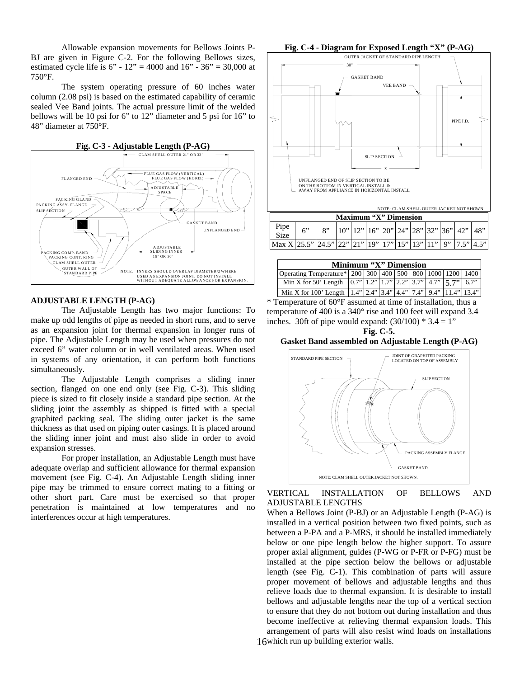Allowable expansion movements for Bellows Joints P-BJ are given in Figure C-2. For the following Bellows sizes, estimated cycle life is  $6" - 12" = 4000$  and  $16" - 36" = 30,000$  at 750°F.

The system operating pressure of 60 inches water column (2.08 psi) is based on the estimated capability of ceramic sealed Vee Band joints. The actual pressure limit of the welded bellows will be 10 psi for 6" to 12" diameter and 5 psi for 16" to 48" diameter at 750°F.



#### **ADJUSTABLE LENGTH (P-AG)**

The Adjustable Length has two major functions: To make up odd lengths of pipe as needed in short runs, and to serve as an expansion joint for thermal expansion in longer runs of pipe. The Adjustable Length may be used when pressures do not exceed 6" water column or in well ventilated areas. When used in systems of any orientation, it can perform both functions simultaneously.

The Adjustable Length comprises a sliding inner section, flanged on one end only (see Fig. C-3). This sliding piece is sized to fit closely inside a standard pipe section. At the sliding joint the assembly as shipped is fitted with a special graphited packing seal. The sliding outer jacket is the same thickness as that used on piping outer casings. It is placed around the sliding inner joint and must also slide in order to avoid expansion stresses.

For proper installation, an Adjustable Length must have adequate overlap and sufficient allowance for thermal expansion movement (see Fig. C-4). An Adjustable Length sliding inner pipe may be trimmed to ensure correct mating to a fitting or other short part. Care must be exercised so that proper penetration is maintained at low temperatures and no interferences occur at high temperatures.



| Minimum "X" Dimension                                                                                              |  |  |  |  |  |  |  |
|--------------------------------------------------------------------------------------------------------------------|--|--|--|--|--|--|--|
| Operating Temperature*   200   300   400   500   800   1000   1200   1400                                          |  |  |  |  |  |  |  |
| Min X for 50' Length $\left  0.7 \right  1.2 \left  1.7 \right  2.2 \left  3.7 \right  4.7 \left  5.7 \right  6.7$ |  |  |  |  |  |  |  |
| Min X for 100' Length $ 1.4"  2.4"  3.4"  4.4"  7.4"  9.4"  11.4"  13.4"$                                          |  |  |  |  |  |  |  |

\* Temperature of 60°F assumed at time of installation, thus a temperature of 400 is a 340° rise and 100 feet will expand 3.4 inches. 30ft of pipe would expand:  $(30/100) * 3.4 = 1"$ 

**Fig. C-5. Gasket Band assembled on Adjustable Length (P-AG)** 



### VERTICAL INSTALLATION OF BELLOWS AND ADJUSTABLE LENGTHS

16 which run up building exterior walls. When a Bellows Joint (P-BJ) or an Adjustable Length (P-AG) is installed in a vertical position between two fixed points, such as between a P-PA and a P-MRS, it should be installed immediately below or one pipe length below the higher support. To assure proper axial alignment, guides (P-WG or P-FR or P-FG) must be installed at the pipe section below the bellows or adjustable length (see Fig. C-1). This combination of parts will assure proper movement of bellows and adjustable lengths and thus relieve loads due to thermal expansion. It is desirable to install bellows and adjustable lengths near the top of a vertical section to ensure that they do not bottom out during installation and thus become ineffective at relieving thermal expansion loads. This arrangement of parts will also resist wind loads on installations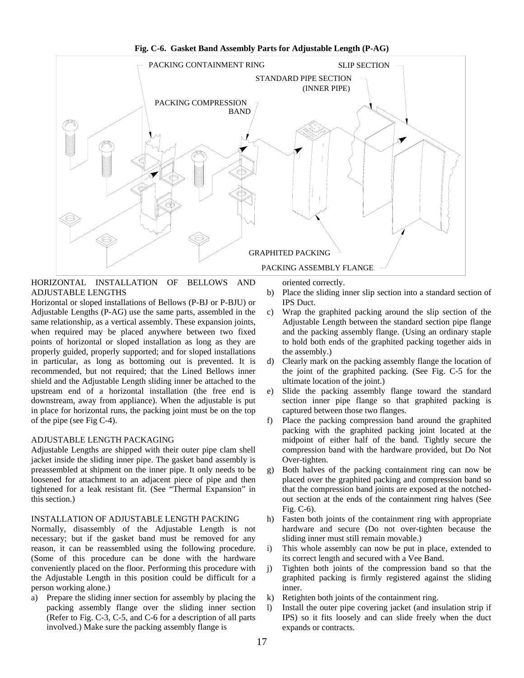**Fig. C-6. Gasket Band Assembly Parts for Adjustable Length (P-AG)** 



HORIZONTAL INSTALLATION OF BELLOWS AND ADJUSTABLE LENGTHS

Horizontal or sloped installations of Bellows (P-BJ or P-BJU) or Adjustable Lengths (P-AG) use the same parts, assembled in the same relationship, as a vertical assembly. These expansion joints, when required may be placed anywhere between two fixed points of horizontal or sloped installation as long as they are properly guided, properly supported; and for sloped installations in particular, as long as bottoming out is prevented. It is recommended, but not required; that the Lined Bellows inner shield and the Adjustable Length sliding inner be attached to the upstream end of a horizontal installation (the free end is downstream, away from appliance). When the adjustable is put in place for horizontal runs, the packing joint must be on the top of the pipe (see Fig C-4).

# ADJUSTABLE LENGTH PACKAGING

Adjustable Lengths are shipped with their outer pipe clam shell jacket inside the sliding inner pipe. The gasket band assembly is preassembled at shipment on the inner pipe. It only needs to be loosened for attachment to an adjacent piece of pipe and then tightened for a leak resistant fit. (See "Thermal Expansion" in this section.)

### INSTALLATION OF ADJUSTABLE LENGTH PACKING

Normally, disassembly of the Adjustable Length is not necessary; but if the gasket band must be removed for any reason, it can be reassembled using the following procedure. (Some of this procedure can be done with the hardware conveniently placed on the floor. Performing this procedure with the Adjustable Length in this position could be difficult for a person working alone.)

a) Prepare the sliding inner section for assembly by placing the packing assembly flange over the sliding inner section (Refer to Fig. C-3, C-5, and C-6 for a description of all parts involved.) Make sure the packing assembly flange is

oriented correctly.

- b) Place the sliding inner slip section into a standard section of IPS Duct.
- c) Wrap the graphited packing around the slip section of the Adjustable Length between the standard section pipe flange and the packing assembly flange. (Using an ordinary staple to hold both ends of the graphited packing together aids in the assembly.)
- d) Clearly mark on the packing assembly flange the location of the joint of the graphited packing. (See Fig. C-5 for the ultimate location of the joint.)
- e) Slide the packing assembly flange toward the standard section inner pipe flange so that graphited packing is captured between those two flanges.
- f) Place the packing compression band around the graphited packing with the graphited packing joint located at the midpoint of either half of the band. Tightly secure the compression band with the hardware provided, but Do Not Over-tighten.
- g) Both halves of the packing containment ring can now be placed over the graphited packing and compression band so that the compression band joints are exposed at the notchedout section at the ends of the containment ring halves (See Fig. C-6).
- h) Fasten both joints of the containment ring with appropriate hardware and secure (Do not over-tighten because the sliding inner must still remain movable.)
- i) This whole assembly can now be put in place, extended to its correct length and secured with a Vee Band.
- j) Tighten both joints of the compression band so that the graphited packing is firmly registered against the sliding inner.
- k) Retighten both joints of the containment ring.
- l) Install the outer pipe covering jacket (and insulation strip if IPS) so it fits loosely and can slide freely when the duct expands or contracts.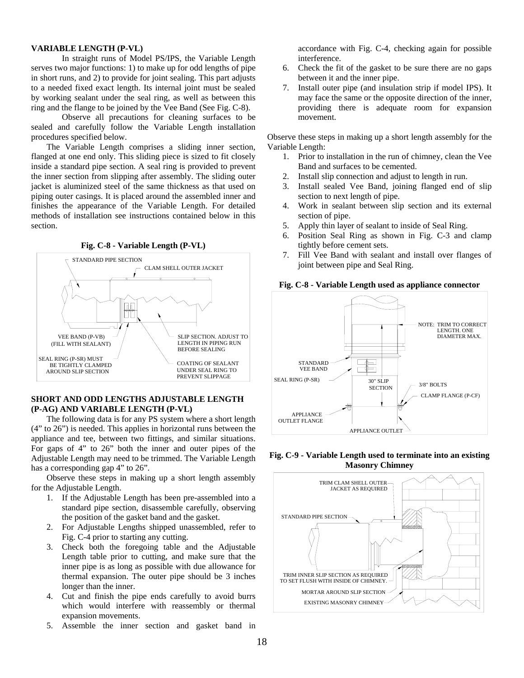#### **VARIABLE LENGTH (P-VL)**

In straight runs of Model PS/IPS, the Variable Length serves two major functions: 1) to make up for odd lengths of pipe in short runs, and 2) to provide for joint sealing. This part adjusts to a needed fixed exact length. Its internal joint must be sealed by working sealant under the seal ring, as well as between this ring and the flange to be joined by the Vee Band (See Fig. C-8).

Observe all precautions for cleaning surfaces to be sealed and carefully follow the Variable Length installation procedures specified below.

The Variable Length comprises a sliding inner section, flanged at one end only. This sliding piece is sized to fit closely inside a standard pipe section. A seal ring is provided to prevent the inner section from slipping after assembly. The sliding outer jacket is aluminized steel of the same thickness as that used on piping outer casings. It is placed around the assembled inner and finishes the appearance of the Variable Length. For detailed methods of installation see instructions contained below in this section.





### **SHORT AND ODD LENGTHS ADJUSTABLE LENGTH (P-AG) AND VARIABLE LENGTH (P-VL)**

The following data is for any PS system where a short length (4" to 26") is needed. This applies in horizontal runs between the appliance and tee, between two fittings, and similar situations. For gaps of 4" to 26" both the inner and outer pipes of the Adjustable Length may need to be trimmed. The Variable Length has a corresponding gap 4" to 26".

Observe these steps in making up a short length assembly for the Adjustable Length.

- 1. If the Adjustable Length has been pre-assembled into a standard pipe section, disassemble carefully, observing the position of the gasket band and the gasket.
- 2. For Adjustable Lengths shipped unassembled, refer to Fig. C-4 prior to starting any cutting.
- 3. Check both the foregoing table and the Adjustable Length table prior to cutting, and make sure that the inner pipe is as long as possible with due allowance for thermal expansion. The outer pipe should be 3 inches longer than the inner.
- 4. Cut and finish the pipe ends carefully to avoid burrs which would interfere with reassembly or thermal expansion movements.
- 5. Assemble the inner section and gasket band in

accordance with Fig. C-4, checking again for possible interference.

- 6. Check the fit of the gasket to be sure there are no gaps between it and the inner pipe.
- 7. Install outer pipe (and insulation strip if model IPS). It may face the same or the opposite direction of the inner, providing there is adequate room for expansion movement.

Observe these steps in making up a short length assembly for the Variable Length:

- 1. Prior to installation in the run of chimney, clean the Vee Band and surfaces to be cemented.
- 2. Install slip connection and adjust to length in run.
- 3. Install sealed Vee Band, joining flanged end of slip section to next length of pipe.
- 4. Work in sealant between slip section and its external section of pipe.
- 5. Apply thin layer of sealant to inside of Seal Ring.
- 6. Position Seal Ring as shown in Fig. C-3 and clamp tightly before cement sets.
- 7. Fill Vee Band with sealant and install over flanges of joint between pipe and Seal Ring.





**Fig. C-9 - Variable Length used to terminate into an existing Masonry Chimney** 

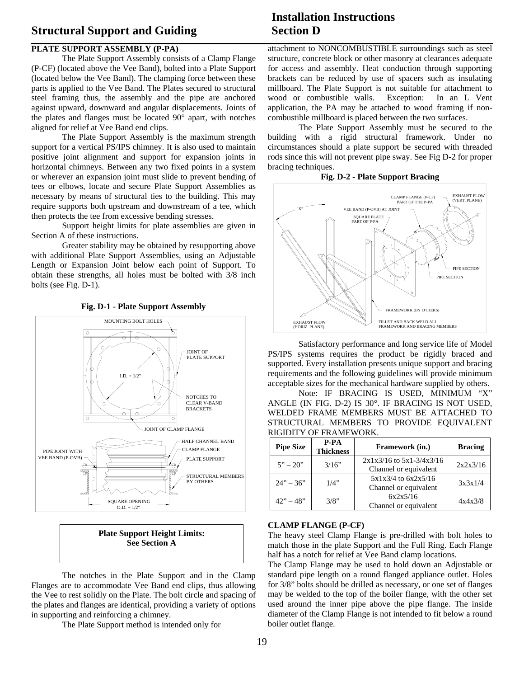# **Structural Support and Guiding**

# **PLATE SUPPORT ASSEMBLY (P-PA)**

The Plate Support Assembly consists of a Clamp Flange (P-CF) (located above the Vee Band), bolted into a Plate Support (located below the Vee Band). The clamping force between these parts is applied to the Vee Band. The Plates secured to structural steel framing thus, the assembly and the pipe are anchored against upward, downward and angular displacements. Joints of the plates and flanges must be located 90° apart, with notches aligned for relief at Vee Band end clips.

The Plate Support Assembly is the maximum strength support for a vertical PS/IPS chimney. It is also used to maintain positive joint alignment and support for expansion joints in horizontal chimneys. Between any two fixed points in a system or wherever an expansion joint must slide to prevent bending of tees or elbows, locate and secure Plate Support Assemblies as necessary by means of structural ties to the building. This may require supports both upstream and downstream of a tee, which then protects the tee from excessive bending stresses.

Support height limits for plate assemblies are given in Section A of these instructions.

Greater stability may be obtained by resupporting above with additional Plate Support Assemblies, using an Adjustable Length or Expansion Joint below each point of Support. To obtain these strengths, all holes must be bolted with 3/8 inch bolts (see Fig. D-1).



#### **Fig. D-1 - Plate Support Assembly**

**Plate Support Height Limits: See Section A** 

The notches in the Plate Support and in the Clamp Flanges are to accommodate Vee Band end clips, thus allowing the Vee to rest solidly on the Plate. The bolt circle and spacing of the plates and flanges are identical, providing a variety of options in supporting and reinforcing a chimney.

The Plate Support method is intended only for

# **Installation Instructions Section D**

attachment to NONCOMBUSTIBLE surroundings such as steel structure, concrete block or other masonry at clearances adequate for access and assembly. Heat conduction through supporting brackets can be reduced by use of spacers such as insulating millboard. The Plate Support is not suitable for attachment to wood or combustible walls. Exception: In an L Vent application, the PA may be attached to wood framing if noncombustible millboard is placed between the two surfaces.

The Plate Support Assembly must be secured to the building with a rigid structural framework. Under no circumstances should a plate support be secured with threaded rods since this will not prevent pipe sway. See Fig D-2 for proper bracing techniques.

**Fig. D-2 - Plate Support Bracing** 



Satisfactory performance and long service life of Model PS/IPS systems requires the product be rigidly braced and supported. Every installation presents unique support and bracing requirements and the following guidelines will provide minimum acceptable sizes for the mechanical hardware supplied by others.

Note: IF BRACING IS USED, MINIMUM "X" ANGLE (IN FIG. D-2) IS 30°. IF BRACING IS NOT USED, WELDED FRAME MEMBERS MUST BE ATTACHED TO STRUCTURAL MEMBERS TO PROVIDE EQUIVALENT RIGIDITY OF FRAMEWORK.

| <b>Pipe Size</b> | <b>P-PA</b><br><b>Thickness</b> | Framework (in.)                                       | <b>Bracing</b> |
|------------------|---------------------------------|-------------------------------------------------------|----------------|
| $5'' - 20''$     | 3/16"                           | $2x1x3/16$ to $5x1-3/4x3/16$<br>Channel or equivalent | 2x2x3/16       |
| $24" - 36"$      | 1/4"                            | $5x1x3/4$ to $6x2x5/16$<br>Channel or equivalent      | 3x3x1/4        |
| $42" - 48"$      | 3/8"                            | 6x2x5/16<br>Channel or equivalent                     | 4x4x3/8        |

#### **CLAMP FLANGE (P-CF)**

The heavy steel Clamp Flange is pre-drilled with bolt holes to match those in the plate Support and the Full Ring. Each Flange half has a notch for relief at Vee Band clamp locations.

The Clamp Flange may be used to hold down an Adjustable or standard pipe length on a round flanged appliance outlet. Holes for 3/8" bolts should be drilled as necessary, or one set of flanges may be welded to the top of the boiler flange, with the other set used around the inner pipe above the pipe flange. The inside diameter of the Clamp Flange is not intended to fit below a round boiler outlet flange.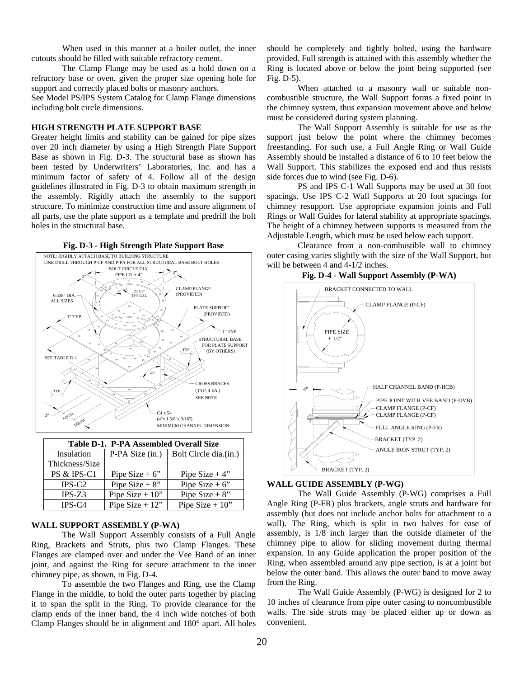When used in this manner at a boiler outlet, the inner cutouts should be filled with suitable refractory cement.

The Clamp Flange may be used as a hold down on a refractory base or oven, given the proper size opening hole for support and correctly placed bolts or masonry anchors.

See Model PS/IPS System Catalog for Clamp Flange dimensions including bolt circle dimensions.

### **HIGH STRENGTH PLATE SUPPORT BASE**

Greater height limits and stability can be gained for pipe sizes over 20 inch diameter by using a High Strength Plate Support Base as shown in Fig. D-3. The structural base as shown has been tested by Underwriters' Laboratories, Inc. and has a minimum factor of safety of 4. Follow all of the design guidelines illustrated in Fig. D-3 to obtain maximum strength in the assembly. Rigidly attach the assembly to the support structure. To minimize construction time and assure alignment of all parts, use the plate support as a template and predrill the bolt holes in the structural base.





| Table D-1. P-PA Assembled Overall Size |                   |                       |  |  |  |  |  |
|----------------------------------------|-------------------|-----------------------|--|--|--|--|--|
| Insulation                             | P-PA Size (in.)   | Bolt Circle dia.(in.) |  |  |  |  |  |
| Thickness/Size                         |                   |                       |  |  |  |  |  |
| PS & IPS-C1                            | Pipe Size $+6$ "  | Pipe Size $+4$ "      |  |  |  |  |  |
| $IPS-C2$                               | Pipe Size $+8$ "  | Pipe Size $+6$ "      |  |  |  |  |  |
| $IPS-Z3$                               | Pipe Size $+10$ " | Pipe Size $+8$ "      |  |  |  |  |  |
| $IPS-C4$                               | Pipe Size $+12$ " | Pipe Size $+10$ "     |  |  |  |  |  |

#### **WALL SUPPORT ASSEMBLY (P-WA)**

The Wall Support Assembly consists of a Full Angle Ring, Brackets and Struts, plus two Clamp Flanges. These Flanges are clamped over and under the Vee Band of an inner joint, and against the Ring for secure attachment to the inner chimney pipe, as shown, in Fig. D-4.

To assemble the two Flanges and Ring, use the Clamp Flange in the middle, to hold the outer parts together by placing it to span the split in the Ring. To provide clearance for the clamp ends of the inner band, the 4 inch wide notches of both Clamp Flanges should be in alignment and 180° apart. All holes should be completely and tightly bolted, using the hardware provided. Full strength is attained with this assembly whether the Ring is located above or below the joint being supported (see Fig. D-5).

When attached to a masonry wall or suitable noncombustible structure, the Wall Support forms a fixed point in the chimney system, thus expansion movement above and below must be considered during system planning.

The Wall Support Assembly is suitable for use as the support just below the point where the chimney becomes freestanding. For such use, a Full Angle Ring or Wall Guide Assembly should be installed a distance of 6 to 10 feet below the Wall Support. This stabilizes the exposed end and thus resists side forces due to wind (see Fig. D-6).

PS and IPS C-1 Wall Supports may be used at 30 foot spacings. Use IPS C-2 Wall Supports at 20 foot spacings for chimney resupport. Use appropriate expansion joints and Full Rings or Wall Guides for lateral stability at appropriate spacings. The height of a chimney between supports is measured from the Adjustable Length, which must be used below each support.

Clearance from a non-combustible wall to chimney outer casing varies slightly with the size of the Wall Support, but will be between 4 and 4-1/2 inches.





#### **WALL GUIDE ASSEMBLY (P-WG)**

The Wall Guide Assembly (P-WG) comprises a Full Angle Ring (P-FR) plus brackets, angle struts and hardware for assembly (but does not include anchor bolts for attachment to a wall). The Ring, which is split in two halves for ease of assembly, is 1/8 inch larger than the outside diameter of the chimney pipe to allow for sliding movement during thermal expansion. In any Guide application the proper position of the Ring, when assembled around any pipe section, is at a joint but below the outer band. This allows the outer band to move away from the Ring.

The Wall Guide Assembly (P-WG) is designed for 2 to 10 inches of clearance from pipe outer casing to noncombustible walls. The side struts may be placed either up or down as convenient.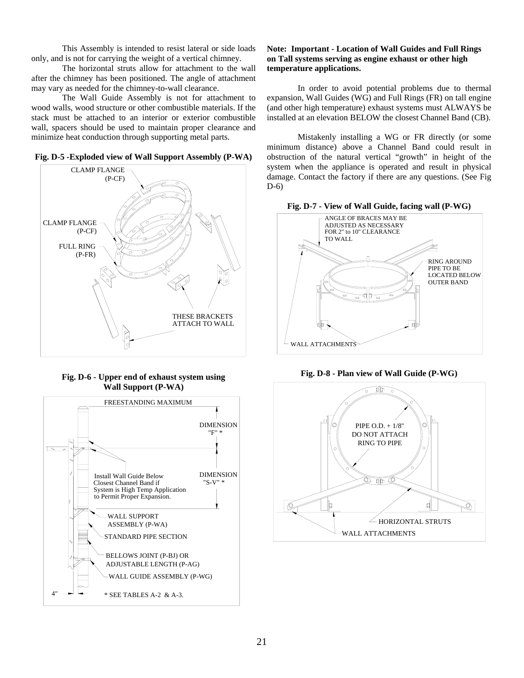This Assembly is intended to resist lateral or side loads only, and is not for carrying the weight of a vertical chimney.

The horizontal struts allow for attachment to the wall after the chimney has been positioned. The angle of attachment may vary as needed for the chimney-to-wall clearance.

The Wall Guide Assembly is not for attachment to wood walls, wood structure or other combustible materials. If the stack must be attached to an interior or exterior combustible wall, spacers should be used to maintain proper clearance and minimize heat conduction through supporting metal parts.

**Fig. D-5 -Exploded view of Wall Support Assembly (P-WA)**



**Fig. D-6 - Upper end of exhaust system using Wall Support (P-WA)** 



### **Note: Important - Location of Wall Guides and Full Rings on Tall systems serving as engine exhaust or other high temperature applications.**

In order to avoid potential problems due to thermal expansion, Wall Guides (WG) and Full Rings (FR) on tall engine (and other high temperature) exhaust systems must ALWAYS be installed at an elevation BELOW the closest Channel Band (CB).

Mistakenly installing a WG or FR directly (or some minimum distance) above a Channel Band could result in obstruction of the natural vertical "growth" in height of the system when the appliance is operated and result in physical damage. Contact the factory if there are any questions. (See Fig D-6)





**Fig. D-8 - Plan view of Wall Guide (P-WG)** 

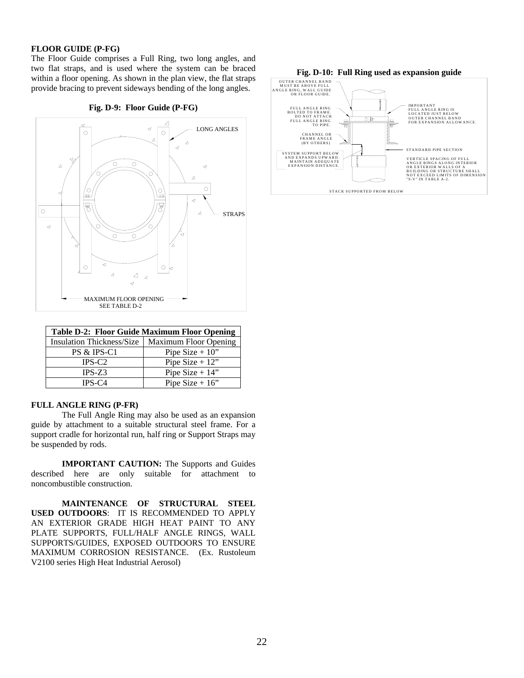#### **FLOOR GUIDE (P-FG)**

The Floor Guide comprises a Full Ring, two long angles, and two flat straps, and is used where the system can be braced within a floor opening. As shown in the plan view, the flat straps provide bracing to prevent sideways bending of the long angles.



**Fig. D-9: Floor Guide (P-FG)** 

| <b>Table D-2: Floor Guide Maximum Floor Opening</b> |                       |  |  |  |
|-----------------------------------------------------|-----------------------|--|--|--|
| <b>Insulation Thickness/Size</b>                    | Maximum Floor Opening |  |  |  |
| PS & IPS-C1                                         | Pipe Size $+10$ "     |  |  |  |
| $IPS-C2$                                            | Pipe Size $+12$ "     |  |  |  |
| $IPS-Z3$                                            | Pipe Size $+14$ "     |  |  |  |
| $IPS-C4$                                            | Pipe Size $+16$ "     |  |  |  |

#### **FULL ANGLE RING (P-FR)**

The Full Angle Ring may also be used as an expansion guide by attachment to a suitable structural steel frame. For a support cradle for horizontal run, half ring or Support Straps may be suspended by rods.

**IMPORTANT CAUTION:** The Supports and Guides described here are only suitable for attachment to noncombustible construction.

**MAINTENANCE OF STRUCTURAL STEEL USED OUTDOORS**: IT IS RECOMMENDED TO APPLY AN EXTERIOR GRADE HIGH HEAT PAINT TO ANY PLATE SUPPORTS, FULL/HALF ANGLE RINGS, WALL SUPPORTS/GUIDES, EXPOSED OUTDOORS TO ENSURE MAXIMUM CORROSION RESISTANCE. (Ex. Rustoleum V2100 series High Heat Industrial Aerosol)



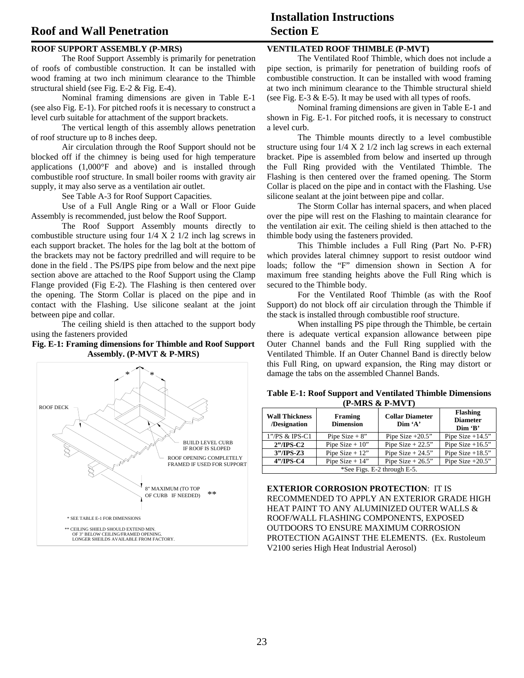# **Roof and Wall Penetration**

# **ROOF SUPPORT ASSEMBLY (P-MRS)**

The Roof Support Assembly is primarily for penetration of roofs of combustible construction. It can be installed with wood framing at two inch minimum clearance to the Thimble structural shield (see Fig. E-2 & Fig. E-4).

Nominal framing dimensions are given in Table E-1 (see also Fig. E-1). For pitched roofs it is necessary to construct a level curb suitable for attachment of the support brackets.

The vertical length of this assembly allows penetration of roof structure up to 8 inches deep.

Air circulation through the Roof Support should not be blocked off if the chimney is being used for high temperature applications (1,000°F and above) and is installed through combustible roof structure. In small boiler rooms with gravity air supply, it may also serve as a ventilation air outlet.

See Table A-3 for Roof Support Capacities.

Use of a Full Angle Ring or a Wall or Floor Guide Assembly is recommended, just below the Roof Support.

The Roof Support Assembly mounts directly to combustible structure using four 1/4 X 2 1/2 inch lag screws in each support bracket. The holes for the lag bolt at the bottom of the brackets may not be factory predrilled and will require to be done in the field . The PS/IPS pipe from below and the next pipe section above are attached to the Roof Support using the Clamp Flange provided (Fig E-2). The Flashing is then centered over the opening. The Storm Collar is placed on the pipe and in contact with the Flashing. Use silicone sealant at the joint between pipe and collar.

The ceiling shield is then attached to the support body using the fasteners provided





# **Installation Instructions Section E**

# **VENTILATED ROOF THIMBLE (P-MVT)**

The Ventilated Roof Thimble, which does not include a pipe section, is primarily for penetration of building roofs of combustible construction. It can be installed with wood framing at two inch minimum clearance to the Thimble structural shield (see Fig. E-3  $&$  E-5). It may be used with all types of roofs.

Nominal framing dimensions are given in Table E-1 and shown in Fig. E-1. For pitched roofs, it is necessary to construct a level curb.

The Thimble mounts directly to a level combustible structure using four 1/4 X 2 1/2 inch lag screws in each external bracket. Pipe is assembled from below and inserted up through the Full Ring provided with the Ventilated Thimble. The Flashing is then centered over the framed opening. The Storm Collar is placed on the pipe and in contact with the Flashing. Use silicone sealant at the joint between pipe and collar.

The Storm Collar has internal spacers, and when placed over the pipe will rest on the Flashing to maintain clearance for the ventilation air exit. The ceiling shield is then attached to the thimble body using the fasteners provided.

This Thimble includes a Full Ring (Part No. P-FR) which provides lateral chimney support to resist outdoor wind loads; follow the "F" dimension shown in Section A for maximum free standing heights above the Full Ring which is secured to the Thimble body.

For the Ventilated Roof Thimble (as with the Roof Support) do not block off air circulation through the Thimble if the stack is installed through combustible roof structure.

When installing PS pipe through the Thimble, be certain there is adequate vertical expansion allowance between pipe Outer Channel bands and the Full Ring supplied with the Ventilated Thimble. If an Outer Channel Band is directly below this Full Ring, on upward expansion, the Ring may distort or damage the tabs on the assembled Channel Bands.

| Table E-1: Roof Support and Ventilated Thimble Dimensions |
|-----------------------------------------------------------|
| $(P-MRS & P-MVT)$                                         |

| <b>Wall Thickness</b><br>/Designation | Framing<br><b>Dimension</b> | <b>Collar Diameter</b><br>Dim 'A' | Flashing<br><b>Diameter</b><br>Dim 'B' |
|---------------------------------------|-----------------------------|-----------------------------------|----------------------------------------|
| 1"/PS & IPS-C1                        | Pipe Size $+8$ "            | Pipe Size $+20.5$ "               | Pipe Size $+14.5$ "                    |
| $2" / IPS-C2$                         | Pipe Size $+10$ "           | Pipe Size $+22.5$ "               | Pipe Size $+16.5$ "                    |
| $3''/IPS-Z3$                          | Pipe Size $+12$ "           | Pipe Size $+24.5$ "               | Pipe Size $+18.5$ "                    |
| $4$ "/IPS-C4                          | Pipe Size $+14$ "           | Pipe Size $+26.5$ "               | Pipe Size $+20.5$ "                    |
| *See Figs. E-2 through E-5.           |                             |                                   |                                        |

**EXTERIOR CORROSION PROTECTION**: IT IS RECOMMENDED TO APPLY AN EXTERIOR GRADE HIGH HEAT PAINT TO ANY ALUMINIZED OUTER WALLS & ROOF/WALL FLASHING COMPONENTS, EXPOSED OUTDOORS TO ENSURE MAXIMUM CORROSION PROTECTION AGAINST THE ELEMENTS. (Ex. Rustoleum V2100 series High Heat Industrial Aerosol)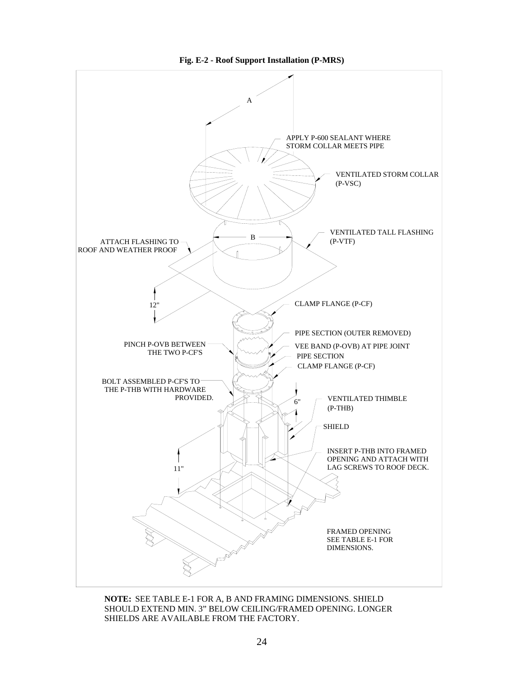

**NOTE:** SEE TABLE E-1 FOR A, B AND FRAMING DIMENSIONS. SHIELD SHOULD EXTEND MIN. 3" BELOW CEILING/FRAMED OPENING. LONGER SHIELDS ARE AVAILABLE FROM THE FACTORY.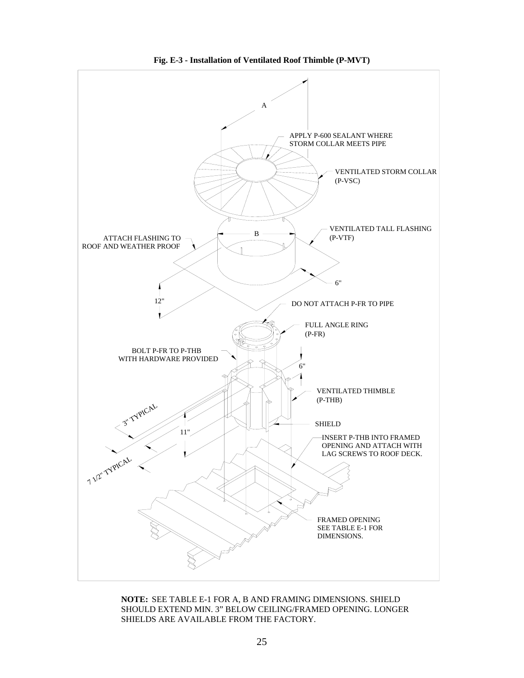

**Fig. E-3 - Installation of Ventilated Roof Thimble (P-MVT)** 

**NOTE:** SEE TABLE E-1 FOR A, B AND FRAMING DIMENSIONS. SHIELD SHOULD EXTEND MIN. 3" BELOW CEILING/FRAMED OPENING. LONGER SHIELDS ARE AVAILABLE FROM THE FACTORY.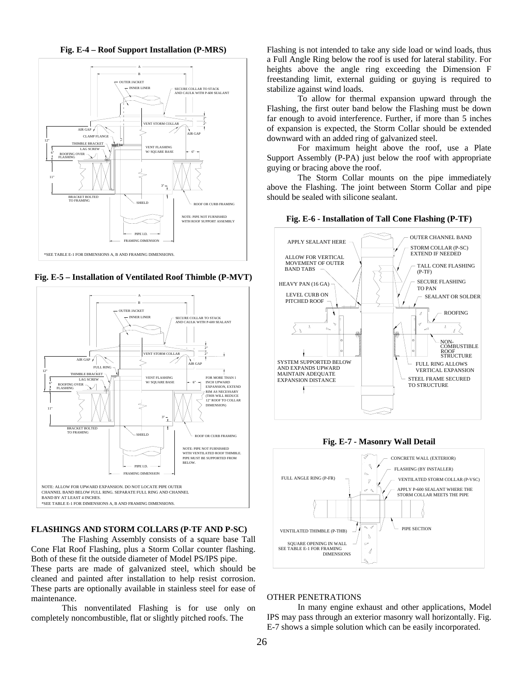**Fig. E-4 – Roof Support Installation (P-MRS)**



**Fig. E-5 – Installation of Ventilated Roof Thimble (P-MVT)**



#### **FLASHINGS AND STORM COLLARS (P-TF AND P-SC)**

The Flashing Assembly consists of a square base Tall Cone Flat Roof Flashing, plus a Storm Collar counter flashing. Both of these fit the outside diameter of Model PS/IPS pipe. These parts are made of galvanized steel, which should be cleaned and painted after installation to help resist corrosion. These parts are optionally available in stainless steel for ease of maintenance.

This nonventilated Flashing is for use only on completely noncombustible, flat or slightly pitched roofs. The

Flashing is not intended to take any side load or wind loads, thus a Full Angle Ring below the roof is used for lateral stability. For heights above the angle ring exceeding the Dimension F freestanding limit, external guiding or guying is required to stabilize against wind loads.

To allow for thermal expansion upward through the Flashing, the first outer band below the Flashing must be down far enough to avoid interference. Further, if more than 5 inches of expansion is expected, the Storm Collar should be extended downward with an added ring of galvanized steel.

For maximum height above the roof, use a Plate Support Assembly (P-PA) just below the roof with appropriate guying or bracing above the roof.

The Storm Collar mounts on the pipe immediately above the Flashing. The joint between Storm Collar and pipe should be sealed with silicone sealant.



#### **Fig. E-6 - Installation of Tall Cone Flashing (P-TF)**

**Fig. E-7 - Masonry Wall Detail** 



#### OTHER PENETRATIONS

In many engine exhaust and other applications, Model IPS may pass through an exterior masonry wall horizontally. Fig. E-7 shows a simple solution which can be easily incorporated.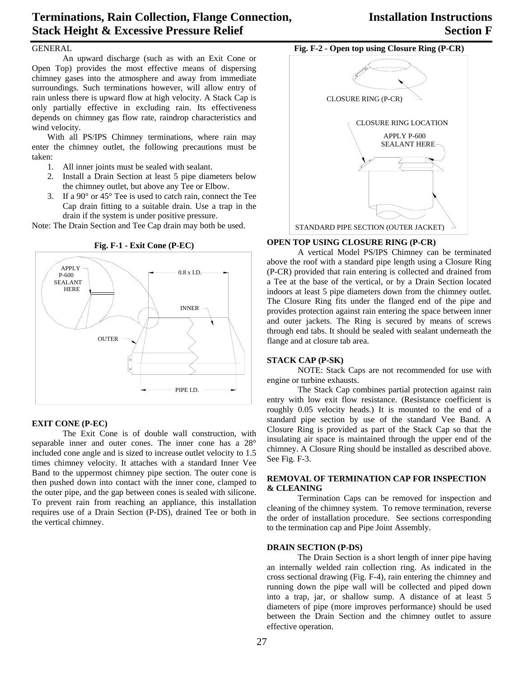# **Terminations, Rain Collection, Flange Connection, Stack Height & Excessive Pressure Relief**

# **GENERAL**

An upward discharge (such as with an Exit Cone or Open Top) provides the most effective means of dispersing chimney gases into the atmosphere and away from immediate surroundings. Such terminations however, will allow entry of rain unless there is upward flow at high velocity. A Stack Cap is only partially effective in excluding rain. Its effectiveness depends on chimney gas flow rate, raindrop characteristics and wind velocity.

With all PS/IPS Chimney terminations, where rain may enter the chimney outlet, the following precautions must be taken:

- 1. All inner joints must be sealed with sealant.
- 2. Install a Drain Section at least 5 pipe diameters below the chimney outlet, but above any Tee or Elbow.
- 3. If a 90° or 45° Tee is used to catch rain, connect the Tee Cap drain fitting to a suitable drain. Use a trap in the drain if the system is under positive pressure.

Note: The Drain Section and Tee Cap drain may both be used.

**Fig. F-1 - Exit Cone (P-EC)** 



# **EXIT CONE (P-EC)**

 The Exit Cone is of double wall construction, with separable inner and outer cones. The inner cone has a 28° included cone angle and is sized to increase outlet velocity to 1.5 times chimney velocity. It attaches with a standard Inner Vee Band to the uppermost chimney pipe section. The outer cone is then pushed down into contact with the inner cone, clamped to the outer pipe, and the gap between cones is sealed with silicone. To prevent rain from reaching an appliance, this installation requires use of a Drain Section (P-DS), drained Tee or both in the vertical chimney.





# **OPEN TOP USING CLOSURE RING (P-CR)**

A vertical Model PS/IPS Chimney can be terminated above the roof with a standard pipe length using a Closure Ring (P-CR) provided that rain entering is collected and drained from a Tee at the base of the vertical, or by a Drain Section located indoors at least 5 pipe diameters down from the chimney outlet. The Closure Ring fits under the flanged end of the pipe and provides protection against rain entering the space between inner and outer jackets. The Ring is secured by means of screws through end tabs. It should be sealed with sealant underneath the flange and at closure tab area.

# **STACK CAP (P-SK)**

NOTE: Stack Caps are not recommended for use with engine or turbine exhausts.

The Stack Cap combines partial protection against rain entry with low exit flow resistance. (Resistance coefficient is roughly 0.05 velocity heads.) It is mounted to the end of a standard pipe section by use of the standard Vee Band. A Closure Ring is provided as part of the Stack Cap so that the insulating air space is maintained through the upper end of the chimney. A Closure Ring should be installed as described above. See Fig. F-3.

#### **REMOVAL OF TERMINATION CAP FOR INSPECTION & CLEANING**

Termination Caps can be removed for inspection and cleaning of the chimney system. To remove termination, reverse the order of installation procedure. See sections corresponding to the termination cap and Pipe Joint Assembly.

#### **DRAIN SECTION (P-DS)**

The Drain Section is a short length of inner pipe having an internally welded rain collection ring. As indicated in the cross sectional drawing (Fig. F-4), rain entering the chimney and running down the pipe wall will be collected and piped down into a trap, jar, or shallow sump. A distance of at least 5 diameters of pipe (more improves performance) should be used between the Drain Section and the chimney outlet to assure effective operation.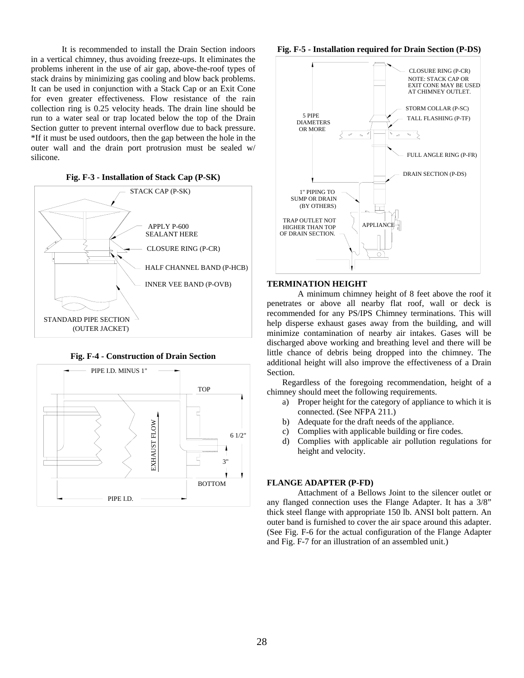It is recommended to install the Drain Section indoors in a vertical chimney, thus avoiding freeze-ups. It eliminates the problems inherent in the use of air gap, above-the-roof types of stack drains by minimizing gas cooling and blow back problems. It can be used in conjunction with a Stack Cap or an Exit Cone for even greater effectiveness. Flow resistance of the rain collection ring is 0.25 velocity heads. The drain line should be run to a water seal or trap located below the top of the Drain Section gutter to prevent internal overflow due to back pressure. \*If it must be used outdoors, then the gap between the hole in the outer wall and the drain port protrusion must be sealed w/ silicone.





**Fig. F-4 - Construction of Drain Section** 



#### **Fig. F-5 - Installation required for Drain Section (P-DS)**



#### **TERMINATION HEIGHT**

A minimum chimney height of 8 feet above the roof it penetrates or above all nearby flat roof, wall or deck is recommended for any PS/IPS Chimney terminations. This will help disperse exhaust gases away from the building, and will minimize contamination of nearby air intakes. Gases will be discharged above working and breathing level and there will be little chance of debris being dropped into the chimney. The additional height will also improve the effectiveness of a Drain Section.

Regardless of the foregoing recommendation, height of a chimney should meet the following requirements.

- a) Proper height for the category of appliance to which it is connected. (See NFPA 211.)
- b) Adequate for the draft needs of the appliance.
- c) Complies with applicable building or fire codes.
- d) Complies with applicable air pollution regulations for height and velocity.

### **FLANGE ADAPTER (P-FD)**

Attachment of a Bellows Joint to the silencer outlet or any flanged connection uses the Flange Adapter. It has a 3/8" thick steel flange with appropriate 150 lb. ANSI bolt pattern. An outer band is furnished to cover the air space around this adapter. (See Fig. F-6 for the actual configuration of the Flange Adapter and Fig. F-7 for an illustration of an assembled unit.)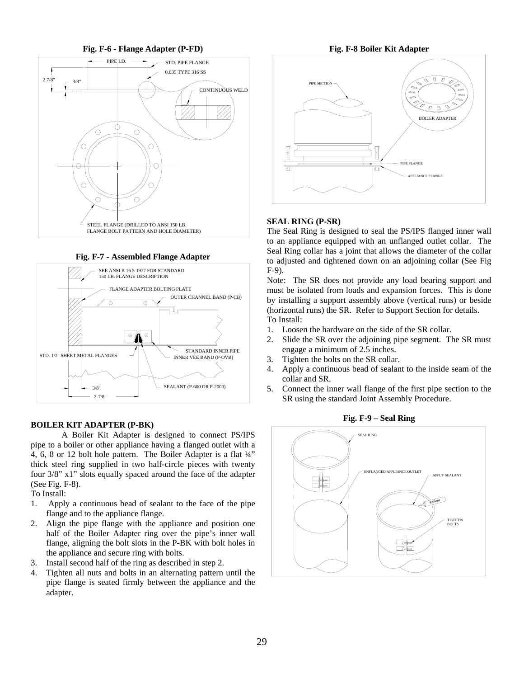**Fig. F-6 - Flange Adapter (P-FD)** 



**Fig. F-7 - Assembled Flange Adapter** 



#### **BOILER KIT ADAPTER (P-BK)**

A Boiler Kit Adapter is designed to connect PS/IPS pipe to a boiler or other appliance having a flanged outlet with a 4, 6, 8 or 12 bolt hole pattern. The Boiler Adapter is a flat ¼" thick steel ring supplied in two half-circle pieces with twenty four 3/8" x1" slots equally spaced around the face of the adapter (See Fig. F-8).

To Install:

- 1. Apply a continuous bead of sealant to the face of the pipe flange and to the appliance flange.
- 2. Align the pipe flange with the appliance and position one half of the Boiler Adapter ring over the pipe's inner wall flange, aligning the bolt slots in the P-BK with bolt holes in the appliance and secure ring with bolts.
- 3. Install second half of the ring as described in step 2.
- 4. Tighten all nuts and bolts in an alternating pattern until the pipe flange is seated firmly between the appliance and the adapter.

**Fig. F-8 Boiler Kit Adapter** 



# **SEAL RING (P-SR)**

The Seal Ring is designed to seal the PS/IPS flanged inner wall to an appliance equipped with an unflanged outlet collar. The Seal Ring collar has a joint that allows the diameter of the collar to adjusted and tightened down on an adjoining collar (See Fig F-9).

Note: The SR does not provide any load bearing support and must be isolated from loads and expansion forces. This is done by installing a support assembly above (vertical runs) or beside (horizontal runs) the SR. Refer to Support Section for details. To Install:

- 1. Loosen the hardware on the side of the SR collar.
- 2. Slide the SR over the adjoining pipe segment. The SR must engage a minimum of 2.5 inches.
- 3. Tighten the bolts on the SR collar.
- 4. Apply a continuous bead of sealant to the inside seam of the collar and SR.
- 5. Connect the inner wall flange of the first pipe section to the SR using the standard Joint Assembly Procedure.



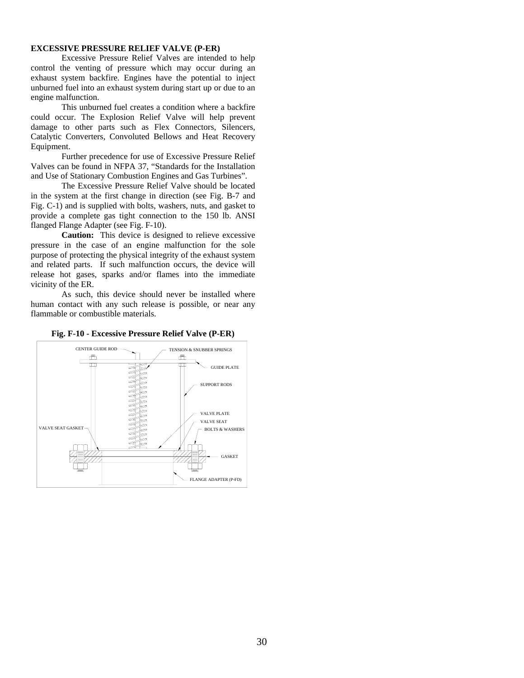### **EXCESSIVE PRESSURE RELIEF VALVE (P-ER)**

Excessive Pressure Relief Valves are intended to help control the venting of pressure which may occur during an exhaust system backfire. Engines have the potential to inject unburned fuel into an exhaust system during start up or due to an engine malfunction.

This unburned fuel creates a condition where a backfire could occur. The Explosion Relief Valve will help prevent damage to other parts such as Flex Connectors, Silencers, Catalytic Converters, Convoluted Bellows and Heat Recovery Equipment.

Further precedence for use of Excessive Pressure Relief Valves can be found in NFPA 37, "Standards for the Installation and Use of Stationary Combustion Engines and Gas Turbines".

The Excessive Pressure Relief Valve should be located in the system at the first change in direction (see Fig. B-7 and Fig. C-1) and is supplied with bolts, washers, nuts, and gasket to provide a complete gas tight connection to the 150 lb. ANSI flanged Flange Adapter (see Fig. F-10).

**Caution:** This device is designed to relieve excessive pressure in the case of an engine malfunction for the sole purpose of protecting the physical integrity of the exhaust system and related parts. If such malfunction occurs, the device will release hot gases, sparks and/or flames into the immediate vicinity of the ER.

As such, this device should never be installed where human contact with any such release is possible, or near any flammable or combustible materials.



**Fig. F-10 - Excessive Pressure Relief Valve (P-ER)**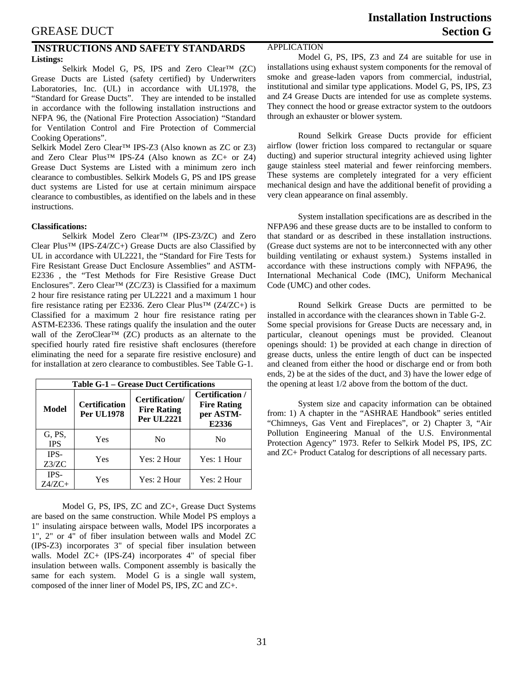# **Installation Instructions Section G**

# **INSTRUCTIONS AND SAFETY STANDARDS Listings:**

Selkirk Model G, PS, IPS and Zero Clear™ (ZC) Grease Ducts are Listed (safety certified) by Underwriters Laboratories, Inc. (UL) in accordance with UL1978, the "Standard for Grease Ducts". They are intended to be installed in accordance with the following installation instructions and NFPA 96, the (National Fire Protection Association) "Standard for Ventilation Control and Fire Protection of Commercial Cooking Operations".

Selkirk Model Zero Clear<sup>™</sup> IPS-Z3 (Also known as ZC or Z3) and Zero Clear Plus™ IPS-Z4 (Also known as ZC+ or Z4) Grease Duct Systems are Listed with a minimum zero inch clearance to combustibles. Selkirk Models G, PS and IPS grease duct systems are Listed for use at certain minimum airspace clearance to combustibles, as identified on the labels and in these instructions.

#### **Classifications:**

Selkirk Model Zero Clear™ (IPS-Z3/ZC) and Zero Clear Plus<sup>™</sup> (IPS-Z4/ZC+) Grease Ducts are also Classified by UL in accordance with UL2221, the "Standard for Fire Tests for Fire Resistant Grease Duct Enclosure Assemblies" and ASTM-E2336 , the "Test Methods for Fire Resistive Grease Duct Enclosures". Zero Clear™ (ZC/Z3) is Classified for a maximum 2 hour fire resistance rating per UL2221 and a maximum 1 hour fire resistance rating per E2336. Zero Clear Plus<sup>TM</sup> (Z4/ZC+) is Classified for a maximum 2 hour fire resistance rating per ASTM-E2336. These ratings qualify the insulation and the outer wall of the ZeroClear™ (ZC) products as an alternate to the specified hourly rated fire resistive shaft enclosures (therefore eliminating the need for a separate fire resistive enclosure) and for installation at zero clearance to combustibles. See Table G-1.

| <b>Table G-1 – Grease Duct Certifications</b> |                                           |                                                           |                                                             |  |
|-----------------------------------------------|-------------------------------------------|-----------------------------------------------------------|-------------------------------------------------------------|--|
| Model                                         | <b>Certification</b><br><b>Per UL1978</b> | Certification/<br><b>Fire Rating</b><br><b>Per UL2221</b> | Certification /<br><b>Fire Rating</b><br>per ASTM-<br>E2336 |  |
| G, PS,<br><b>IPS</b>                          | Yes                                       | N <sub>0</sub>                                            | No                                                          |  |
| IPS-<br>Z3/ZC                                 | Yes                                       | Yes: 2 Hour                                               | Yes: 1 Hour                                                 |  |
| IPS-<br>$Z4/ZC+$                              | Yes                                       | Yes: 2 Hour                                               | Yes: 2 Hour                                                 |  |

Model G, PS, IPS, ZC and ZC+, Grease Duct Systems are based on the same construction. While Model PS employs a 1" insulating airspace between walls, Model IPS incorporates a 1", 2" or 4" of fiber insulation between walls and Model ZC (IPS-Z3) incorporates 3" of special fiber insulation between walls. Model ZC+ (IPS-Z4) incorporates 4" of special fiber insulation between walls. Component assembly is basically the same for each system. Model G is a single wall system, composed of the inner liner of Model PS, IPS, ZC and ZC+.

# APPLICATION

Model G, PS, IPS, Z3 and Z4 are suitable for use in installations using exhaust system components for the removal of smoke and grease-laden vapors from commercial, industrial, institutional and similar type applications. Model G, PS, IPS, Z3 and Z4 Grease Ducts are intended for use as complete systems. They connect the hood or grease extractor system to the outdoors through an exhauster or blower system.

Round Selkirk Grease Ducts provide for efficient airflow (lower friction loss compared to rectangular or square ducting) and superior structural integrity achieved using lighter gauge stainless steel material and fewer reinforcing members. These systems are completely integrated for a very efficient mechanical design and have the additional benefit of providing a very clean appearance on final assembly.

System installation specifications are as described in the NFPA96 and these grease ducts are to be installed to conform to that standard or as described in these installation instructions. (Grease duct systems are not to be interconnected with any other building ventilating or exhaust system.) Systems installed in accordance with these instructions comply with NFPA96, the International Mechanical Code (IMC), Uniform Mechanical Code (UMC) and other codes.

Round Selkirk Grease Ducts are permitted to be installed in accordance with the clearances shown in Table G-2. Some special provisions for Grease Ducts are necessary and, in particular, cleanout openings must be provided. Cleanout openings should: 1) be provided at each change in direction of grease ducts, unless the entire length of duct can be inspected and cleaned from either the hood or discharge end or from both ends, 2) be at the sides of the duct, and 3) have the lower edge of the opening at least 1/2 above from the bottom of the duct.

System size and capacity information can be obtained from: 1) A chapter in the "ASHRAE Handbook" series entitled "Chimneys, Gas Vent and Fireplaces", or 2) Chapter 3, "Air Pollution Engineering Manual of the U.S. Environmental Protection Agency" 1973. Refer to Selkirk Model PS, IPS, ZC and ZC+ Product Catalog for descriptions of all necessary parts.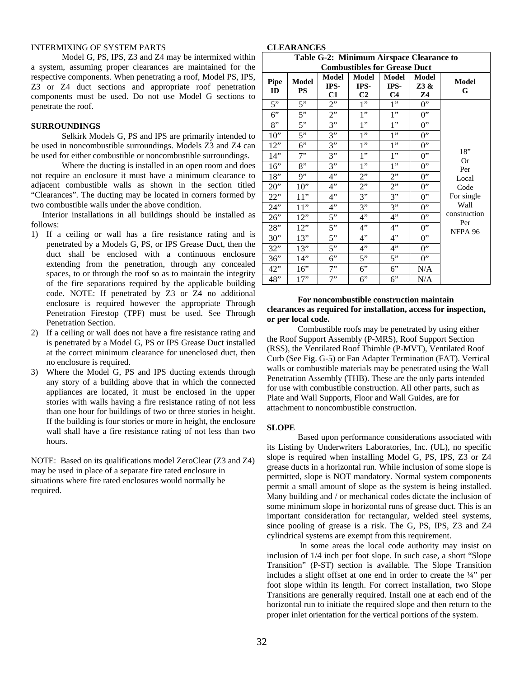#### INTERMIXING OF SYSTEM PARTS

Model G, PS, IPS, Z3 and Z4 may be intermixed within a system, assuming proper clearances are maintained for the respective components. When penetrating a roof, Model PS, IPS, Z3 or Z4 duct sections and appropriate roof penetration components must be used. Do not use Model G sections to penetrate the roof.

#### **SURROUNDINGS**

Selkirk Models G, PS and IPS are primarily intended to be used in noncombustible surroundings. Models Z3 and Z4 can be used for either combustible or noncombustible surroundings.

Where the ducting is installed in an open room and does not require an enclosure it must have a minimum clearance to adjacent combustible walls as shown in the section titled "Clearances". The ducting may be located in corners formed by two combustible walls under the above condition.

Interior installations in all buildings should be installed as follows:

- 1) If a ceiling or wall has a fire resistance rating and is penetrated by a Models G, PS, or IPS Grease Duct, then the duct shall be enclosed with a continuous enclosure extending from the penetration, through any concealed spaces, to or through the roof so as to maintain the integrity of the fire separations required by the applicable building code. NOTE: If penetrated by Z3 or Z4 no additional enclosure is required however the appropriate Through Penetration Firestop (TPF) must be used. See Through Penetration Section.
- 2) If a ceiling or wall does not have a fire resistance rating and is penetrated by a Model G, PS or IPS Grease Duct installed at the correct minimum clearance for unenclosed duct, then no enclosure is required.
- 3) Where the Model G, PS and IPS ducting extends through any story of a building above that in which the connected appliances are located, it must be enclosed in the upper stories with walls having a fire resistance rating of not less than one hour for buildings of two or three stories in height. If the building is four stories or more in height, the enclosure wall shall have a fire resistance rating of not less than two hours.

NOTE: Based on its qualifications model ZeroClear (Z3 and Z4) may be used in place of a separate fire rated enclosure in situations where fire rated enclosures would normally be required.

**CLEARANCES** 

| Table G-2: Minimum Airspace Clearance to |                                     |                            |                                 |                                 |                     |                     |
|------------------------------------------|-------------------------------------|----------------------------|---------------------------------|---------------------------------|---------------------|---------------------|
|                                          | <b>Combustibles for Grease Duct</b> |                            |                                 |                                 |                     |                     |
| Pipe<br>ID                               | <b>Model</b><br><b>PS</b>           | <b>Model</b><br>IPS-<br>C1 | Model<br>IPS-<br>C <sub>2</sub> | Model<br>IPS-<br>C <sub>4</sub> | Model<br>Z3 &<br>Z4 | <b>Model</b><br>G   |
| 5"                                       | 5"                                  | 2"                         | 1"                              | 1"                              | $0$ "               |                     |
| 6"                                       | 5"                                  | 2"                         | 1"                              | 1"                              | $0$ "               |                     |
| 8"                                       | 5"                                  | 3"                         | 1"                              | 1"                              | $0$ "               |                     |
| 10"                                      | 5"                                  | 3"                         | 1"                              | 1"                              | $0$ "               |                     |
| 12"                                      | $\overline{6}$                      | 3"                         | $1$ "                           | 1"                              | $\overline{0"}$     |                     |
| 14"                                      | 7"                                  | 3"                         | 1"                              | 1"                              | 0"                  | 18"<br><b>Or</b>    |
| 16"                                      | 8"                                  | 3"                         | 1"                              | 1"                              | $0$ "               | Per                 |
| 18"                                      | 9"                                  | 4"                         | 2"                              | 2"                              | $0$ "               | Local               |
| 20"                                      | 10"                                 | 4"                         | 2"                              | 2"                              | 0"                  | Code                |
| 22"                                      | $11$ "                              | 4"                         | 3"                              | 3"                              | $0$ "               | For single          |
| 24"                                      | 11"                                 | 4"                         | 3"                              | 3"                              | $0$ <sup>"</sup>    | Wall                |
| 26"                                      | 12"                                 | 5"                         | 4"                              | 4"                              | 0"                  | construction<br>Per |
| 28"                                      | 12"                                 | $5$ "                      | 4"                              | 4"                              | $0$ "               | NFPA 96             |
| 30"                                      | 13"                                 | 5"                         | 4"                              | 4"                              | $0$ "               |                     |
| 32"                                      | 13"                                 | 5"                         | 4"                              | 4"                              | $0$ "               |                     |
| 36"                                      | 14"                                 | 6"                         | 5"                              | 5"                              | $0$ "               |                     |
| 42"                                      | 16"                                 | 7"                         | 6"                              | 6"                              | N/A                 |                     |
| 48"                                      | 17"                                 | 7"                         | 6"                              | 6"                              | N/A                 |                     |

#### **For noncombustible construction maintain clearances as required for installation, access for inspection, or per local code.**

Combustible roofs may be penetrated by using either the Roof Support Assembly (P-MRS), Roof Support Section (RSS), the Ventilated Roof Thimble (P-MVT), Ventilated Roof Curb (See Fig. G-5) or Fan Adapter Termination (FAT). Vertical walls or combustible materials may be penetrated using the Wall Penetration Assembly (THB). These are the only parts intended for use with combustible construction. All other parts, such as Plate and Wall Supports, Floor and Wall Guides, are for attachment to noncombustible construction.

#### **SLOPE**

Based upon performance considerations associated with its Listing by Underwriters Laboratories, Inc. (UL), no specific slope is required when installing Model G, PS, IPS, Z3 or Z4 grease ducts in a horizontal run. While inclusion of some slope is permitted, slope is NOT mandatory. Normal system components permit a small amount of slope as the system is being installed. Many building and / or mechanical codes dictate the inclusion of some minimum slope in horizontal runs of grease duct. This is an important consideration for rectangular, welded steel systems, since pooling of grease is a risk. The G, PS, IPS, Z3 and Z4 cylindrical systems are exempt from this requirement.

 In some areas the local code authority may insist on inclusion of 1/4 inch per foot slope. In such case, a short "Slope Transition" (P-ST) section is available. The Slope Transition includes a slight offset at one end in order to create the ¼" per foot slope within its length. For correct installation, two Slope Transitions are generally required. Install one at each end of the horizontal run to initiate the required slope and then return to the proper inlet orientation for the vertical portions of the system.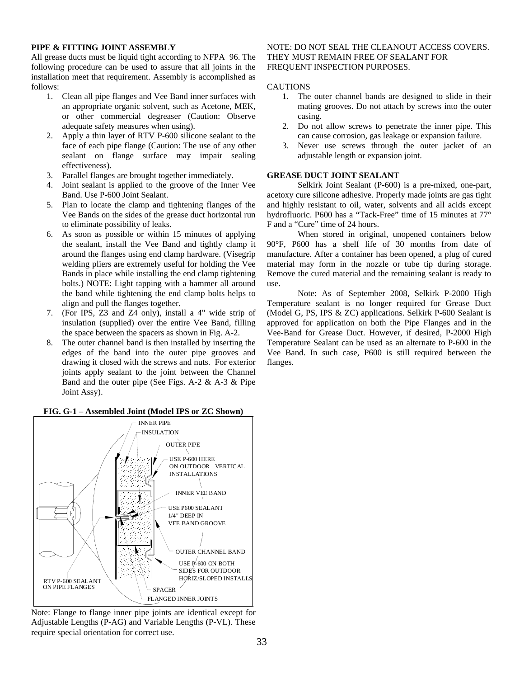### **PIPE & FITTING JOINT ASSEMBLY**

All grease ducts must be liquid tight according to NFPA 96. The following procedure can be used to assure that all joints in the installation meet that requirement. Assembly is accomplished as follows:

- 1. Clean all pipe flanges and Vee Band inner surfaces with an appropriate organic solvent, such as Acetone, MEK, or other commercial degreaser (Caution: Observe adequate safety measures when using).
- 2. Apply a thin layer of RTV P-600 silicone sealant to the face of each pipe flange (Caution: The use of any other sealant on flange surface may impair sealing effectiveness).
- 3. Parallel flanges are brought together immediately.
- 4. Joint sealant is applied to the groove of the Inner Vee Band. Use P-600 Joint Sealant.
- 5. Plan to locate the clamp and tightening flanges of the Vee Bands on the sides of the grease duct horizontal run to eliminate possibility of leaks.
- 6. As soon as possible or within 15 minutes of applying the sealant, install the Vee Band and tightly clamp it around the flanges using end clamp hardware. (Visegrip welding pliers are extremely useful for holding the Vee Bands in place while installing the end clamp tightening bolts.) NOTE: Light tapping with a hammer all around the band while tightening the end clamp bolts helps to align and pull the flanges together.
- 7. (For IPS, Z3 and Z4 only), install a 4" wide strip of insulation (supplied) over the entire Vee Band, filling the space between the spacers as shown in Fig. A-2.
- 8. The outer channel band is then installed by inserting the edges of the band into the outer pipe grooves and drawing it closed with the screws and nuts. For exterior joints apply sealant to the joint between the Channel Band and the outer pipe (See Figs. A-2 & A-3 & Pipe Joint Assy).



#### **FIG. G-1 – Assembled Joint (Model IPS or ZC Shown)**

Note: Flange to flange inner pipe joints are identical except for Adjustable Lengths (P-AG) and Variable Lengths (P-VL). These require special orientation for correct use.

#### NOTE: DO NOT SEAL THE CLEANOUT ACCESS COVERS. THEY MUST REMAIN FREE OF SEALANT FOR FREQUENT INSPECTION PURPOSES.

### **CAUTIONS**

- 1. The outer channel bands are designed to slide in their mating grooves. Do not attach by screws into the outer casing.
- 2. Do not allow screws to penetrate the inner pipe. This can cause corrosion, gas leakage or expansion failure.
- 3. Never use screws through the outer jacket of an adjustable length or expansion joint.

#### **GREASE DUCT JOINT SEALANT**

Selkirk Joint Sealant (P-600) is a pre-mixed, one-part, acetoxy cure silicone adhesive. Properly made joints are gas tight and highly resistant to oil, water, solvents and all acids except hydrofluoric. P600 has a "Tack-Free" time of 15 minutes at 77° F and a "Cure" time of 24 hours.

When stored in original, unopened containers below 90°F, P600 has a shelf life of 30 months from date of manufacture. After a container has been opened, a plug of cured material may form in the nozzle or tube tip during storage. Remove the cured material and the remaining sealant is ready to use.

Note: As of September 2008, Selkirk P-2000 High Temperature sealant is no longer required for Grease Duct (Model G, PS, IPS & ZC) applications. Selkirk P-600 Sealant is approved for application on both the Pipe Flanges and in the Vee-Band for Grease Duct. However, if desired, P-2000 High Temperature Sealant can be used as an alternate to P-600 in the Vee Band. In such case, P600 is still required between the flanges.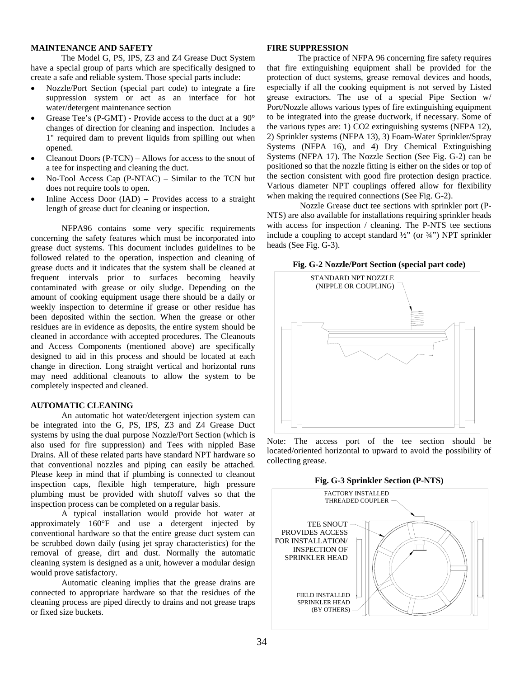#### **MAINTENANCE AND SAFETY**

The Model G, PS, IPS, Z3 and Z4 Grease Duct System have a special group of parts which are specifically designed to create a safe and reliable system. Those special parts include:

- Nozzle/Port Section (special part code) to integrate a fire suppression system or act as an interface for hot water/detergent maintenance section
- Grease Tee's (P-GMT) Provide access to the duct at a 90° changes of direction for cleaning and inspection. Includes a 1" required dam to prevent liquids from spilling out when opened.
- Cleanout Doors (P-TCN) Allows for access to the snout of a tee for inspecting and cleaning the duct.
- No-Tool Access Cap (P-NTAC) Similar to the TCN but does not require tools to open.
- Inline Access Door (IAD) Provides access to a straight length of grease duct for cleaning or inspection.

NFPA96 contains some very specific requirements concerning the safety features which must be incorporated into grease duct systems. This document includes guidelines to be followed related to the operation, inspection and cleaning of grease ducts and it indicates that the system shall be cleaned at frequent intervals prior to surfaces becoming heavily contaminated with grease or oily sludge. Depending on the amount of cooking equipment usage there should be a daily or weekly inspection to determine if grease or other residue has been deposited within the section. When the grease or other residues are in evidence as deposits, the entire system should be cleaned in accordance with accepted procedures. The Cleanouts and Access Components (mentioned above) are specifically designed to aid in this process and should be located at each change in direction. Long straight vertical and horizontal runs may need additional cleanouts to allow the system to be completely inspected and cleaned.

#### **AUTOMATIC CLEANING**

An automatic hot water/detergent injection system can be integrated into the G, PS, IPS, Z3 and Z4 Grease Duct systems by using the dual purpose Nozzle/Port Section (which is also used for fire suppression) and Tees with nippled Base Drains. All of these related parts have standard NPT hardware so that conventional nozzles and piping can easily be attached. Please keep in mind that if plumbing is connected to cleanout inspection caps, flexible high temperature, high pressure plumbing must be provided with shutoff valves so that the inspection process can be completed on a regular basis.

A typical installation would provide hot water at approximately 160°F and use a detergent injected by conventional hardware so that the entire grease duct system can be scrubbed down daily (using jet spray characteristics) for the removal of grease, dirt and dust. Normally the automatic cleaning system is designed as a unit, however a modular design would prove satisfactory.

Automatic cleaning implies that the grease drains are connected to appropriate hardware so that the residues of the cleaning process are piped directly to drains and not grease traps or fixed size buckets.

#### **FIRE SUPPRESSION**

The practice of NFPA 96 concerning fire safety requires that fire extinguishing equipment shall be provided for the protection of duct systems, grease removal devices and hoods, especially if all the cooking equipment is not served by Listed grease extractors. The use of a special Pipe Section w/ Port/Nozzle allows various types of fire extinguishing equipment to be integrated into the grease ductwork, if necessary. Some of the various types are: 1) CO2 extinguishing systems (NFPA 12), 2) Sprinkler systems (NFPA 13), 3) Foam-Water Sprinkler/Spray Systems (NFPA 16), and 4) Dry Chemical Extinguishing Systems (NFPA 17). The Nozzle Section (See Fig. G-2) can be positioned so that the nozzle fitting is either on the sides or top of the section consistent with good fire protection design practice. Various diameter NPT couplings offered allow for flexibility when making the required connections (See Fig. G-2).

 Nozzle Grease duct tee sections with sprinkler port (P-NTS) are also available for installations requiring sprinkler heads with access for inspection / cleaning. The P-NTS tee sections include a coupling to accept standard  $\frac{1}{2}$ " (or  $\frac{3}{4}$ ") NPT sprinkler heads (See Fig. G-3).





Note: The access port of the tee section should be located/oriented horizontal to upward to avoid the possibility of collecting grease.



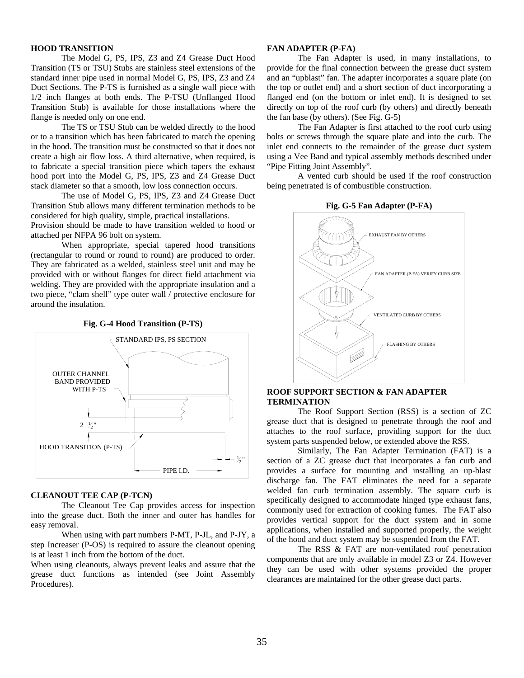#### **HOOD TRANSITION**

The Model G, PS, IPS, Z3 and Z4 Grease Duct Hood Transition (TS or TSU) Stubs are stainless steel extensions of the standard inner pipe used in normal Model G, PS, IPS, Z3 and Z4 Duct Sections. The P-TS is furnished as a single wall piece with 1/2 inch flanges at both ends. The P-TSU (Unflanged Hood Transition Stub) is available for those installations where the flange is needed only on one end.

The TS or TSU Stub can be welded directly to the hood or to a transition which has been fabricated to match the opening in the hood. The transition must be constructed so that it does not create a high air flow loss. A third alternative, when required, is to fabricate a special transition piece which tapers the exhaust hood port into the Model G, PS, IPS, Z3 and Z4 Grease Duct stack diameter so that a smooth, low loss connection occurs.

The use of Model G, PS, IPS, Z3 and Z4 Grease Duct Transition Stub allows many different termination methods to be considered for high quality, simple, practical installations.

Provision should be made to have transition welded to hood or attached per NFPA 96 bolt on system.

 When appropriate, special tapered hood transitions (rectangular to round or round to round) are produced to order. They are fabricated as a welded, stainless steel unit and may be provided with or without flanges for direct field attachment via welding. They are provided with the appropriate insulation and a two piece, "clam shell" type outer wall / protective enclosure for around the insulation.



#### **Fig. G-4 Hood Transition (P-TS)**

#### **CLEANOUT TEE CAP (P-TCN)**

The Cleanout Tee Cap provides access for inspection into the grease duct. Both the inner and outer has handles for easy removal.

When using with part numbers P-MT, P-JL, and P-JY, a step Increaser (P-OS) is required to assure the cleanout opening is at least 1 inch from the bottom of the duct.

When using cleanouts, always prevent leaks and assure that the grease duct functions as intended (see Joint Assembly Procedures).

#### **FAN ADAPTER (P-FA)**

The Fan Adapter is used, in many installations, to provide for the final connection between the grease duct system and an "upblast" fan. The adapter incorporates a square plate (on the top or outlet end) and a short section of duct incorporating a flanged end (on the bottom or inlet end). It is designed to set directly on top of the roof curb (by others) and directly beneath the fan base (by others). (See Fig. G-5)

The Fan Adapter is first attached to the roof curb using bolts or screws through the square plate and into the curb. The inlet end connects to the remainder of the grease duct system using a Vee Band and typical assembly methods described under "Pipe Fitting Joint Assembly".

A vented curb should be used if the roof construction being penetrated is of combustible construction.



#### **Fig. G-5 Fan Adapter (P-FA)**

#### **ROOF SUPPORT SECTION & FAN ADAPTER TERMINATION**

The Roof Support Section (RSS) is a section of ZC grease duct that is designed to penetrate through the roof and attaches to the roof surface, providing support for the duct system parts suspended below, or extended above the RSS.

Similarly, The Fan Adapter Termination (FAT) is a section of a ZC grease duct that incorporates a fan curb and provides a surface for mounting and installing an up-blast discharge fan. The FAT eliminates the need for a separate welded fan curb termination assembly. The square curb is specifically designed to accommodate hinged type exhaust fans, commonly used for extraction of cooking fumes. The FAT also provides vertical support for the duct system and in some applications, when installed and supported properly, the weight of the hood and duct system may be suspended from the FAT.

The RSS & FAT are non-ventilated roof penetration components that are only available in model Z3 or Z4. However they can be used with other systems provided the proper clearances are maintained for the other grease duct parts.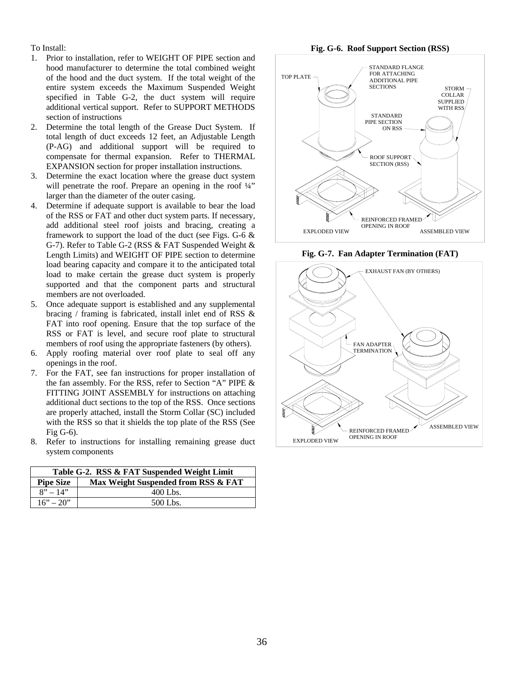To Install:

- 1. Prior to installation, refer to WEIGHT OF PIPE section and hood manufacturer to determine the total combined weight of the hood and the duct system. If the total weight of the entire system exceeds the Maximum Suspended Weight specified in Table G-2, the duct system will require additional vertical support. Refer to SUPPORT METHODS section of instructions
- 2. Determine the total length of the Grease Duct System. If total length of duct exceeds 12 feet, an Adjustable Length (P-AG) and additional support will be required to compensate for thermal expansion. Refer to THERMAL EXPANSION section for proper installation instructions.
- 3. Determine the exact location where the grease duct system will penetrate the roof. Prepare an opening in the roof  $\frac{1}{4}$ " larger than the diameter of the outer casing.
- 4. Determine if adequate support is available to bear the load of the RSS or FAT and other duct system parts. If necessary, add additional steel roof joists and bracing, creating a framework to support the load of the duct (see Figs. G-6 & G-7). Refer to Table G-2 (RSS & FAT Suspended Weight & Length Limits) and WEIGHT OF PIPE section to determine load bearing capacity and compare it to the anticipated total load to make certain the grease duct system is properly supported and that the component parts and structural members are not overloaded.
- 5. Once adequate support is established and any supplemental bracing / framing is fabricated, install inlet end of RSS & FAT into roof opening. Ensure that the top surface of the RSS or FAT is level, and secure roof plate to structural members of roof using the appropriate fasteners (by others).
- 6. Apply roofing material over roof plate to seal off any openings in the roof.
- 7. For the FAT, see fan instructions for proper installation of the fan assembly. For the RSS, refer to Section "A" PIPE & FITTING JOINT ASSEMBLY for instructions on attaching additional duct sections to the top of the RSS. Once sections are properly attached, install the Storm Collar (SC) included with the RSS so that it shields the top plate of the RSS (See Fig G-6).
- 8. Refer to instructions for installing remaining grease duct system components

| Table G-2. RSS & FAT Suspended Weight Limit |                                     |  |
|---------------------------------------------|-------------------------------------|--|
| <b>Pipe Size</b>                            | Max Weight Suspended from RSS & FAT |  |
| $8'' - 14''$                                | 400 Lbs.                            |  |
| $16" - 20"$                                 | $500$ Lbs.                          |  |

**Fig. G-6. Roof Support Section (RSS)** 



**Fig. G-7. Fan Adapter Termination (FAT)** 

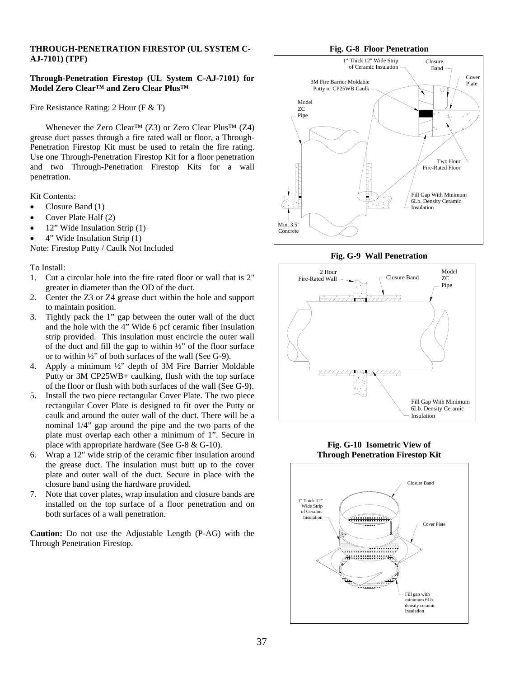#### **THROUGH-PENETRATION FIRESTOP (UL SYSTEM C-AJ-7101) (TPF)**

#### **Through-Penetration Firestop (UL System C-AJ-7101) for Model Zero Clear™ and Zero Clear Plus™**

Fire Resistance Rating: 2 Hour (F & T)

Whenever the Zero Clear™ (Z3) or Zero Clear Plus™ (Z4) grease duct passes through a fire rated wall or floor, a Through-Penetration Firestop Kit must be used to retain the fire rating. Use one Through-Penetration Firestop Kit for a floor penetration and two Through-Penetration Firestop Kits for a wall penetration.

Kit Contents:

- Closure Band (1)
- Cover Plate Half (2)
- 12" Wide Insulation Strip (1)
- 4" Wide Insulation Strip (1)

Note: Firestop Putty / Caulk Not Included

To Install:

- 1. Cut a circular hole into the fire rated floor or wall that is 2" greater in diameter than the OD of the duct.
- 2. Center the Z3 or Z4 grease duct within the hole and support to maintain position.
- 3. Tightly pack the 1" gap between the outer wall of the duct and the hole with the 4" Wide 6 pcf ceramic fiber insulation strip provided. This insulation must encircle the outer wall of the duct and fill the gap to within  $\frac{1}{2}$ " of the floor surface or to within ½" of both surfaces of the wall (See G-9).
- 4. Apply a minimum ½" depth of 3M Fire Barrier Moldable Putty or 3M CP25WB+ caulking, flush with the top surface of the floor or flush with both surfaces of the wall (See G-9).
- 5. Install the two piece rectangular Cover Plate. The two piece rectangular Cover Plate is designed to fit over the Putty or caulk and around the outer wall of the duct. There will be a nominal 1/4" gap around the pipe and the two parts of the plate must overlap each other a minimum of 1". Secure in place with appropriate hardware (See G-8 & G-10).
- 6. Wrap a 12" wide strip of the ceramic fiber insulation around the grease duct. The insulation must butt up to the cover plate and outer wall of the duct. Secure in place with the closure band using the hardware provided.
- 7. Note that cover plates, wrap insulation and closure bands are installed on the top surface of a floor penetration and on both surfaces of a wall penetration.

**Caution:** Do not use the Adjustable Length (P-AG) with the Through Penetration Firestop.

#### **Fig. G-8 Floor Penetration**



**Fig. G-9 Wall Penetration** 





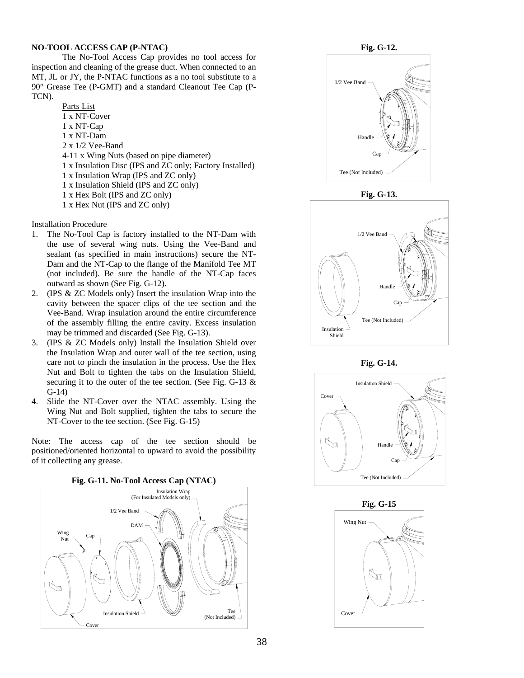# **NO-TOOL ACCESS CAP (P-NTAC)**

The No-Tool Access Cap provides no tool access for inspection and cleaning of the grease duct. When connected to an MT, JL or JY, the P-NTAC functions as a no tool substitute to a 90° Grease Tee (P-GMT) and a standard Cleanout Tee Cap (P-TCN).

Parts List

1 x NT-Cover 1 x NT-Cap 1 x NT-Dam 2 x 1/2 Vee-Band 4-11 x Wing Nuts (based on pipe diameter) 1 x Insulation Disc (IPS and ZC only; Factory Installed) 1 x Insulation Wrap (IPS and ZC only) 1 x Insulation Shield (IPS and ZC only) 1 x Hex Bolt (IPS and ZC only) 1 x Hex Nut (IPS and ZC only)

Installation Procedure

- 1. The No-Tool Cap is factory installed to the NT-Dam with the use of several wing nuts. Using the Vee-Band and sealant (as specified in main instructions) secure the NT-Dam and the NT-Cap to the flange of the Manifold Tee MT (not included). Be sure the handle of the NT-Cap faces outward as shown (See Fig. G-12).
- 2. (IPS & ZC Models only) Insert the insulation Wrap into the cavity between the spacer clips of the tee section and the Vee-Band. Wrap insulation around the entire circumference of the assembly filling the entire cavity. Excess insulation may be trimmed and discarded (See Fig. G-13).
- 3. (IPS & ZC Models only) Install the Insulation Shield over the Insulation Wrap and outer wall of the tee section, using care not to pinch the insulation in the process. Use the Hex Nut and Bolt to tighten the tabs on the Insulation Shield, securing it to the outer of the tee section. (See Fig. G-13 & G-14)
- 4. Slide the NT-Cover over the NTAC assembly. Using the Wing Nut and Bolt supplied, tighten the tabs to secure the NT-Cover to the tee section. (See Fig. G-15)

Note: The access cap of the tee section should be positioned/oriented horizontal to upward to avoid the possibility of it collecting any grease.





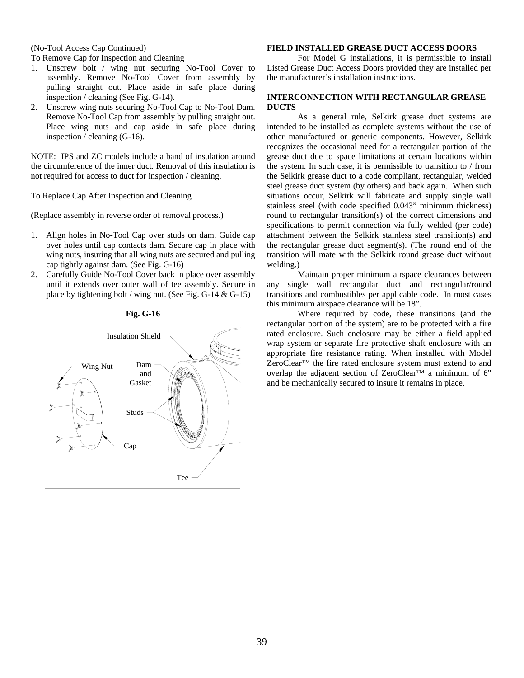(No-Tool Access Cap Continued)

To Remove Cap for Inspection and Cleaning

- 1. Unscrew bolt / wing nut securing No-Tool Cover to assembly. Remove No-Tool Cover from assembly by pulling straight out. Place aside in safe place during inspection / cleaning (See Fig. G-14).
- 2. Unscrew wing nuts securing No-Tool Cap to No-Tool Dam. Remove No-Tool Cap from assembly by pulling straight out. Place wing nuts and cap aside in safe place during inspection / cleaning (G-16).

NOTE: IPS and ZC models include a band of insulation around the circumference of the inner duct. Removal of this insulation is not required for access to duct for inspection / cleaning.

To Replace Cap After Inspection and Cleaning

(Replace assembly in reverse order of removal process.)

- 1. Align holes in No-Tool Cap over studs on dam. Guide cap over holes until cap contacts dam. Secure cap in place with wing nuts, insuring that all wing nuts are secured and pulling cap tightly against dam. (See Fig. G-16)
- 2. Carefully Guide No-Tool Cover back in place over assembly until it extends over outer wall of tee assembly. Secure in place by tightening bolt / wing nut. (See Fig. G-14 & G-15)



#### **Fig. G-16**

# **FIELD INSTALLED GREASE DUCT ACCESS DOORS**

For Model G installations, it is permissible to install Listed Grease Duct Access Doors provided they are installed per the manufacturer's installation instructions.

# **INTERCONNECTION WITH RECTANGULAR GREASE DUCTS**

As a general rule, Selkirk grease duct systems are intended to be installed as complete systems without the use of other manufactured or generic components. However, Selkirk recognizes the occasional need for a rectangular portion of the grease duct due to space limitations at certain locations within the system. In such case, it is permissible to transition to / from the Selkirk grease duct to a code compliant, rectangular, welded steel grease duct system (by others) and back again. When such situations occur, Selkirk will fabricate and supply single wall stainless steel (with code specified 0.043" minimum thickness) round to rectangular transition(s) of the correct dimensions and specifications to permit connection via fully welded (per code) attachment between the Selkirk stainless steel transition(s) and the rectangular grease duct segment(s). (The round end of the transition will mate with the Selkirk round grease duct without welding.)

Maintain proper minimum airspace clearances between any single wall rectangular duct and rectangular/round transitions and combustibles per applicable code. In most cases this minimum airspace clearance will be 18".

Where required by code, these transitions (and the rectangular portion of the system) are to be protected with a fire rated enclosure. Such enclosure may be either a field applied wrap system or separate fire protective shaft enclosure with an appropriate fire resistance rating. When installed with Model ZeroClear™ the fire rated enclosure system must extend to and overlap the adjacent section of ZeroClear™ a minimum of 6" and be mechanically secured to insure it remains in place.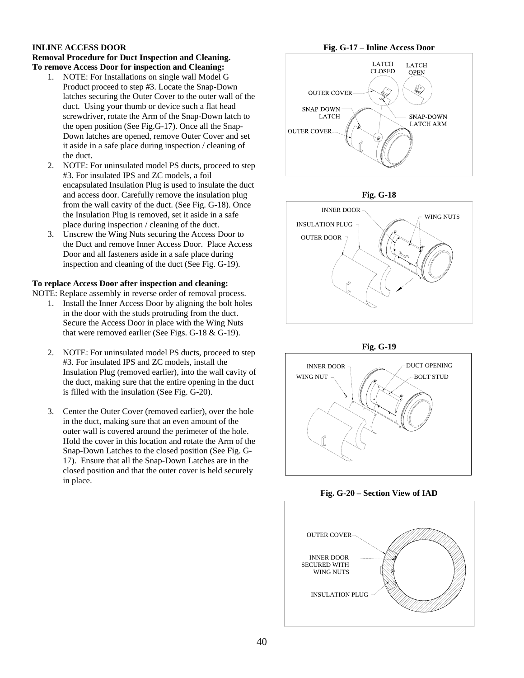# **INLINE ACCESS DOOR**

**Removal Procedure for Duct Inspection and Cleaning. To remove Access Door for inspection and Cleaning:** 

- 1. NOTE: For Installations on single wall Model G Product proceed to step #3. Locate the Snap-Down latches securing the Outer Cover to the outer wall of the duct. Using your thumb or device such a flat head screwdriver, rotate the Arm of the Snap-Down latch to the open position (See Fig.G-17). Once all the Snap-Down latches are opened, remove Outer Cover and set it aside in a safe place during inspection / cleaning of the duct.
- 2. NOTE: For uninsulated model PS ducts, proceed to step #3. For insulated IPS and ZC models, a foil encapsulated Insulation Plug is used to insulate the duct and access door. Carefully remove the insulation plug from the wall cavity of the duct. (See Fig. G-18). Once the Insulation Plug is removed, set it aside in a safe place during inspection / cleaning of the duct.
- 3. Unscrew the Wing Nuts securing the Access Door to the Duct and remove Inner Access Door. Place Access Door and all fasteners aside in a safe place during inspection and cleaning of the duct (See Fig. G-19).

# **To replace Access Door after inspection and cleaning:**

- NOTE: Replace assembly in reverse order of removal process.
	- 1. Install the Inner Access Door by aligning the bolt holes in the door with the studs protruding from the duct. Secure the Access Door in place with the Wing Nuts that were removed earlier (See Figs. G-18 & G-19).
	- 2. NOTE: For uninsulated model PS ducts, proceed to step #3. For insulated IPS and ZC models, install the Insulation Plug (removed earlier), into the wall cavity of the duct, making sure that the entire opening in the duct is filled with the insulation (See Fig. G-20).
	- 3. Center the Outer Cover (removed earlier), over the hole in the duct, making sure that an even amount of the outer wall is covered around the perimeter of the hole. Hold the cover in this location and rotate the Arm of the Snap-Down Latches to the closed position (See Fig. G-17). Ensure that all the Snap-Down Latches are in the closed position and that the outer cover is held securely in place.











**Fig. G-20 – Section View of IAD** 

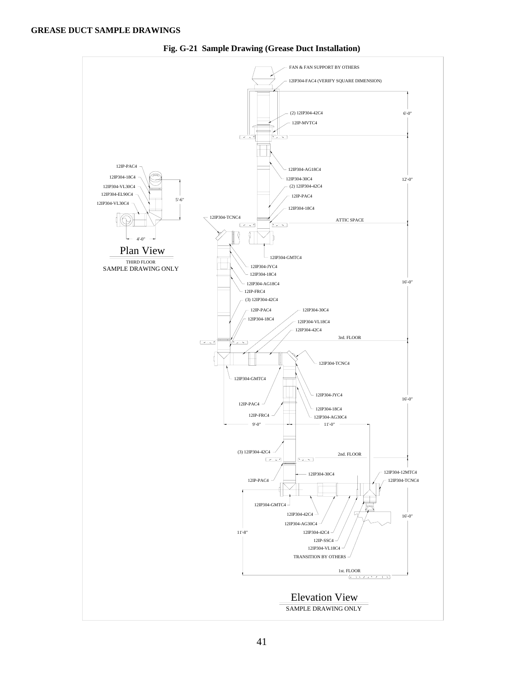

**Fig. G-21 Sample Drawing (Grease Duct Installation)**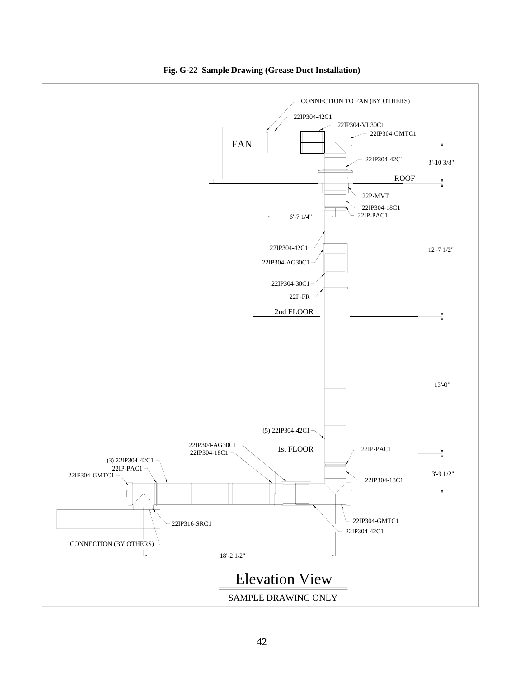

**Fig. G-22 Sample Drawing (Grease Duct Installation)**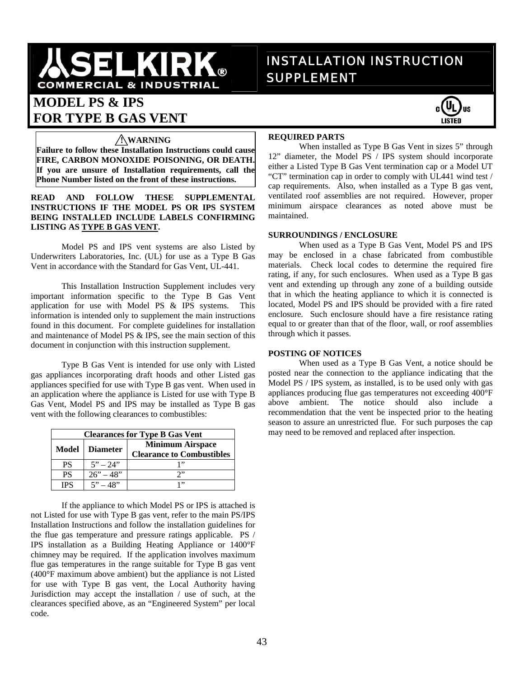# KIRI **COMMERCIAL & INDUSTRIAL**

# INSTALLATION INSTRUCTION SUPPLEMENT

# **MODEL PS & IPS FOR TYPE B GAS VENT**



# **! WARNING**

**Failure to follow these Installation Instructions could cause FIRE, CARBON MONOXIDE POISONING, OR DEATH. If you are unsure of Installation requirements, call the Phone Number listed on the front of these instructions.**

# **READ AND FOLLOW THESE SUPPLEMENTAL INSTRUCTIONS IF THE MODEL PS OR IPS SYSTEM BEING INSTALLED INCLUDE LABELS CONFIRMING LISTING AS TYPE B GAS VENT.**

Model PS and IPS vent systems are also Listed by Underwriters Laboratories, Inc. (UL) for use as a Type B Gas Vent in accordance with the Standard for Gas Vent, UL-441.

This Installation Instruction Supplement includes very important information specific to the Type B Gas Vent application for use with Model PS & IPS systems. This information is intended only to supplement the main instructions found in this document. For complete guidelines for installation and maintenance of Model PS & IPS, see the main section of this document in conjunction with this instruction supplement.

Type B Gas Vent is intended for use only with Listed gas appliances incorporating draft hoods and other Listed gas appliances specified for use with Type B gas vent. When used in an application where the appliance is Listed for use with Type B Gas Vent, Model PS and IPS may be installed as Type B gas vent with the following clearances to combustibles:

| <b>Clearances for Type B Gas Vent</b> |                         |                                  |
|---------------------------------------|-------------------------|----------------------------------|
| <b>Diameter</b><br>Model              | <b>Minimum Airspace</b> |                                  |
|                                       |                         | <b>Clearance to Combustibles</b> |
| PS                                    | $5" - 24"$              | 1"                               |
| <b>PS</b>                             | $26" - 48"$             |                                  |
| IPS                                   | $5" - 48"$              | 1"                               |

If the appliance to which Model PS or IPS is attached is not Listed for use with Type B gas vent, refer to the main PS/IPS Installation Instructions and follow the installation guidelines for the flue gas temperature and pressure ratings applicable. PS / IPS installation as a Building Heating Appliance or 1400°F chimney may be required. If the application involves maximum flue gas temperatures in the range suitable for Type B gas vent (400°F maximum above ambient) but the appliance is not Listed for use with Type B gas vent, the Local Authority having Jurisdiction may accept the installation / use of such, at the clearances specified above, as an "Engineered System" per local code.

#### **REQUIRED PARTS**

 When installed as Type B Gas Vent in sizes 5" through 12" diameter, the Model PS / IPS system should incorporate either a Listed Type B Gas Vent termination cap or a Model UT "CT" termination cap in order to comply with UL441 wind test / cap requirements. Also, when installed as a Type B gas vent, ventilated roof assemblies are not required. However, proper minimum airspace clearances as noted above must be maintained.

#### **SURROUNDINGS / ENCLOSURE**

 When used as a Type B Gas Vent, Model PS and IPS may be enclosed in a chase fabricated from combustible materials. Check local codes to determine the required fire rating, if any, for such enclosures. When used as a Type B gas vent and extending up through any zone of a building outside that in which the heating appliance to which it is connected is located, Model PS and IPS should be provided with a fire rated enclosure. Such enclosure should have a fire resistance rating equal to or greater than that of the floor, wall, or roof assemblies through which it passes.

#### **POSTING OF NOTICES**

 When used as a Type B Gas Vent, a notice should be posted near the connection to the appliance indicating that the Model PS / IPS system, as installed, is to be used only with gas appliances producing flue gas temperatures not exceeding 400°F above ambient. The notice should also include a recommendation that the vent be inspected prior to the heating season to assure an unrestricted flue. For such purposes the cap may need to be removed and replaced after inspection.